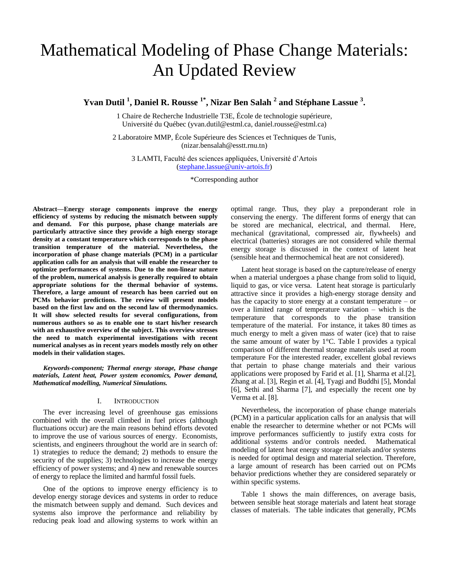# Mathematical Modeling of Phase Change Materials: An Updated Review

**Yvan Dutil <sup>1</sup> , Daniel R. Rousse 1\* , Nizar Ben Salah <sup>2</sup> and Stéphane Lassue <sup>3</sup> .**

1 Chaire de Recherche Industrielle T3E, École de technologie supérieure, Université du Québec ([yvan.dutil@estml.ca, daniel.rousse@estml.ca\)](mailto:daniel.rousse@uquebec.ca)

2 Laboratoire MMP, École Supérieure des Sciences et Techniques de Tunis, [\(nizar.bensalah@esstt.rnu.tn\)](mailto:nizar.bensalah@esstt.rnu.tn)

3 LAMTI, Faculté des sciences appliquées, Université d'Artois [\(stephane.lassue@univ-artois.fr\)](mailto:stephane.lassue@univ-artois.fr)

\*Corresponding author

**Abstract—Energy storage components improve the energy efficiency of systems by reducing the mismatch between supply and demand. For this purpose, phase change materials are particularly attractive since they provide a high energy storage density at a constant temperature which corresponds to the phase transition temperature of the material. Nevertheless, the incorporation of phase change materials (PCM) in a particular application calls for an analysis that will enable the researcher to optimize performances of systems. Due to the non-linear nature of the problem, numerical analysis is generally required to obtain appropriate solutions for the thermal behavior of systems. Therefore, a large amount of research has been carried out on PCMs behavior predictions. The review will present models based on the first law and on the second law of thermodynamics. It will show selected results for several configurations, from numerous authors so as to enable one to start his/her research with an exhaustive overview of the subject. This overview stresses the need to match experimental investigations with recent numerical analyses as in recent years models mostly rely on other models in their validation stages.**

*Keywords-component; Thermal energy storage, Phase change materials, Latent heat, Power system economics, Power demand, Mathematical modelling, Numerical Simulations.*

#### I. INTRODUCTION

The ever increasing level of greenhouse gas emissions combined with the overall climbed in fuel prices (although fluctuations occur) are the main reasons behind efforts devoted to improve the use of various sources of energy. Economists, scientists, and engineers throughout the world are in search of: 1) strategies to reduce the demand; 2) methods to ensure the security of the supplies; 3) technologies to increase the energy efficiency of power systems; and 4) new and renewable sources of energy to replace the limited and harmful fossil fuels.

One of the options to improve energy efficiency is to develop energy storage devices and systems in order to reduce the mismatch between supply and demand. Such devices and systems also improve the performance and reliability by reducing peak load and allowing systems to work within an optimal range. Thus, they play a preponderant role in conserving the energy. The different forms of energy that can be stored are mechanical, electrical, and thermal. Here, mechanical (gravitational, compressed air, flywheels) and electrical (batteries) storages are not considered while thermal energy storage is discussed in the context of latent heat (sensible heat and thermochemical heat are not considered).

Latent heat storage is based on the capture/release of energy when a material undergoes a phase change from solid to liquid, liquid to gas, or vice versa. Latent heat storage is particularly attractive since it provides a high-energy storage density and has the capacity to store energy at a constant temperature – or over a limited range of temperature variation – which is the temperature that corresponds to the phase transition temperature of the material. For instance, it takes 80 times as much energy to melt a given mass of water (ice) that to raise the same amount of water by 1°C. Table I provides a typical comparison of different thermal storage materials used at room temperature For the interested reader, excellent global reviews that pertain to phase change materials and their various applications were proposed by Farid et al. [1], Sharma et al.[2], Zhang at al. [3], Regin et al. [4], Tyagi and Buddhi [5], Mondal [6], Sethi and Sharma [7], and especially the recent one by Verma et al. [8].

Nevertheless, the incorporation of phase change materials (PCM) in a particular application calls for an analysis that will enable the researcher to determine whether or not PCMs will improve performances sufficiently to justify extra costs for additional systems and/or controls needed. Mathematical modeling of latent heat energy storage materials and/or systems is needed for optimal design and material selection. Therefore, a large amount of research has been carried out on PCMs behavior predictions whether they are considered separately or within specific systems.

Table 1 shows the main differences, on average basis, between sensible heat storage materials and latent heat storage classes of materials. The table indicates that generally, PCMs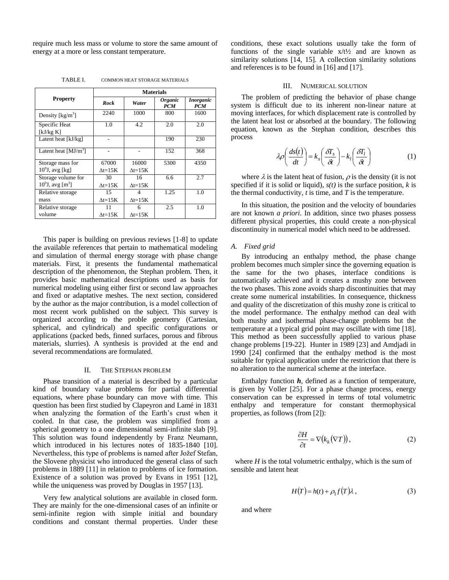require much less mass or volume to store the same amount of energy at a more or less constant temperature.

TABLE I. COMMON HEAT STORAGE MATERIALS

|                                 | <b>Materials</b> |                   |                                     |                                       |  |  |  |  |  |
|---------------------------------|------------------|-------------------|-------------------------------------|---------------------------------------|--|--|--|--|--|
| <b>Property</b>                 | Rock             | Water             | <i><b>Organic</b></i><br><b>PCM</b> | <i><b>Inorganic</b></i><br><b>PCM</b> |  |  |  |  |  |
| Density $[kg/m3]$               | 2240             | 1000              | 800                                 | 1600                                  |  |  |  |  |  |
| Specific Heat<br>[ $kJ/kg$ K]   | 1.0              | 4.2               | 2.0                                 | 2.0                                   |  |  |  |  |  |
| Latent heat [kJ/kg]             |                  |                   | 190                                 | 230                                   |  |  |  |  |  |
| Latent heat $[MJ/m^3]$          |                  |                   | 152                                 | 368                                   |  |  |  |  |  |
| Storage mass for                | 67000            | 16000             | 5300                                | 4350                                  |  |  |  |  |  |
| $109$ J, avg [kg]               | $\Delta t = 15K$ | $\Delta t = 15K$  |                                     |                                       |  |  |  |  |  |
| Storage volume for              | 30               | 16                | 6.6                                 | 2.7                                   |  |  |  |  |  |
| $10^9$ J, avg [m <sup>3</sup> ] | $\Delta t = 15K$ | $\Delta t = 15K$  |                                     |                                       |  |  |  |  |  |
| Relative storage                | 15               |                   | 1.25                                | 1.0                                   |  |  |  |  |  |
| mass                            | $\Delta t = 15K$ | $\Lambda t = 15K$ |                                     |                                       |  |  |  |  |  |
| Relative storage                | 11               | 6                 | 2.5                                 | 1.0                                   |  |  |  |  |  |
| volume                          | $\Delta t = 15K$ | $\Delta t = 15K$  |                                     |                                       |  |  |  |  |  |

This paper is building on previous reviews [1-8] to update the available references that pertain to mathematical modeling and simulation of thermal energy storage with phase change materials. First, it presents the fundamental mathematical description of the phenomenon, the Stephan problem. Then, it provides basic mathematical descriptions used as basis for numerical modeling using either first or second law approaches and fixed or adaptative meshes. The next section, considered by the author as the major contribution, is a model collection of most recent work published on the subject. This survey is organized according to the proble geometry (Cartesian, spherical, and cylindrical) and specific configurations or applications (packed beds, finned surfaces, porous and fibrous materials, slurries). A synthesis is provided at the end and several recommendations are formulated.

# II. THE STEPHAN PROBLEM

Phase transition of a material is described by a particular kind of boundary value problems for partial differential equations, where phase boundary can move with time. This question has been first studied by Clapeyron and Lamé in 1831 when analyzing the formation of the Earth's crust when it cooled. In that case, the problem was simplified from a spherical geometry to a one dimensional semi-infinite slab [9]. This solution was found independently by Franz Neumann, which introduced in his lectures notes of 1835-1840 [10]. Nevertheless, this type of problems is named after Jožef Stefan, the Slovene physicist who introduced the general class of such problems in 1889 [11] in relation to problems of ice formation. Existence of a solution was proved by Evans in 1951 [12], while the uniqueness was proved by Douglas in 1957 [13].

Very few analytical solutions are available in closed form. They are mainly for the one-dimensional cases of an infinite or semi-infinite region with simple initial and boundary conditions and constant thermal properties. Under these

conditions, these exact solutions usually take the form of functions of the single variable  $x/t\frac{1}{2}$  and are known as similarity solutions [14, 15]. A collection similarity solutions and references is to be found in [16] and [17].

## III. NUMERICAL SOLUTION

The problem of predicting the behavior of phase change system is difficult due to its inherent non-linear nature at moving interfaces, for which displacement rate is controlled by the latent heat lost or absorbed at the boundary. The following equation, known as the Stephan condition, describes this process

$$
\lambda \rho \left( \frac{ds(t)}{dt} \right) = k_s \left( \frac{\delta T_s}{\delta t} \right) - k_l \left( \frac{\delta T_l}{\delta t} \right) \tag{1}
$$

where  $\lambda$  is the latent heat of fusion,  $\rho$  is the density (it is not specified if it is solid or liquid),  $s(t)$  is the surface position, *k* is the thermal conductivity,  $t$  is time, and  $T$  is the temperature.

In this situation, the position and the velocity of boundaries are not known *a priori*. In addition, since two phases possess different physical properties, this could create a non-physical discontinuity in numerical model which need to be addressed.

# *A. Fixed grid*

By introducing an enthalpy method, the phase change problem becomes much simpler since the governing equation is the same for the two phases, interface conditions is automatically achieved and it creates a mushy zone between the two phases. This zone avoids sharp discontinuities that may create some numerical instabilities. In consequence, thickness and quality of the discretization of this mushy zone is critical to the model performance. The enthalpy method can deal with both mushy and isothermal phase-change problems but the temperature at a typical grid point may oscillate with time [18]. This method as been successfully applied to various phase change problems [19-22]. Hunter in 1989 [23] and Amdjadi in 1990 [24] confirmed that the enthalpy method is the most suitable for typical application under the restriction that there is no alteration to the numerical scheme at the interface.

Enthalpy function  $h$ , defined as a function of temperature, is given by Voller [25]. For a phase change process, energy conservation can be expressed in terms of total volumetric enthalpy and temperature for constant thermophysical properties, as follows (from [2]):

$$
\frac{\partial H}{\partial t} = \nabla \big(k_k(\nabla T)\big),\tag{2}
$$

where  $H$  is the total volumetric enthalpy, which is the sum of sensible and latent heat

$$
H(T) = h(t) + \rho_1 f(T) \lambda, \qquad (3)
$$

and where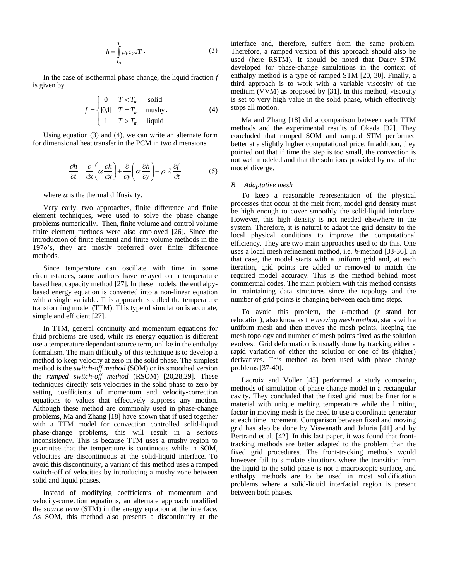$$
h = \int_{T_m}^{T} \rho_k c_k dT \,. \tag{3}
$$

In the case of isothermal phase change, the liquid fraction *f*  is given by

$$
f = \begin{cases} 0 & T < T_m \text{ solid} \\ 10, & T = T_m \text{ mostly.} \\ 1 & T > T_m \text{ liquid} \end{cases}
$$
 (4)

Using equation (3) and (4), we can write an alternate form for dimensional heat transfer in the PCM in two dimensions

$$
\frac{\partial h}{\partial t} = \frac{\partial}{\partial x} \left( \alpha \frac{\partial h}{\partial x} \right) + \frac{\partial}{\partial y} \left( \alpha \frac{\partial h}{\partial y} \right) - \rho_1 \lambda \frac{\partial f}{\partial t}
$$
(5)

where  $\alpha$  is the thermal diffusivity.

Very early, two approaches, finite difference and finite element techniques, were used to solve the phase change problems numerically. Then, finite volume and control volume finite element methods were also employed [26]. Since the introduction of finite element and finite volume methods in the 197o's, they are mostly preferred over finite difference methods.

Since temperature can oscillate with time in some circumstances, some authors have relayed on a temperature based heat capacity method [27]. In these models, the enthalpybased energy equation is converted into a non-linear equation with a single variable. This approach is called the temperature transforming model (TTM). This type of simulation is accurate, simple and efficient [27].

In TTM, general continuity and momentum equations for fluid problems are used, while its energy equation is different use a temperature dependant source term, unlike in the enthalpy formalism. The main difficulty of this technique is to develop a method to keep velocity at zero in the solid phase. The simplest method is the *switch-off method* (SOM) or its smoothed version the *ramped switch-off method* (RSOM) [20,28,29]. These techniques directly sets velocities in the solid phase to zero by setting coefficients of momentum and velocity-correction equations to values that effectively suppress any motion. Although these method are commonly used in phase-change problems, Ma and Zhang [18] have shown that if used together with a TTM model for convection controlled solid-liquid phase-change problems, this will result in a serious inconsistency. This is because TTM uses a mushy region to guarantee that the temperature is continuous while in SOM, velocities are discontinuous at the solid-liquid interface. To avoid this discontinuity, a variant of this method uses a ramped switch-off of velocities by introducing a mushy zone between solid and liquid phases.

Instead of modifying coefficients of momentum and velocity-correction equations, an alternate approach modified the *source term* (STM) in the energy equation at the interface. As SOM, this method also presents a discontinuity at the interface and, therefore, suffers from the same problem. Therefore, a ramped version of this approach should also be used (here RSTM). It should be noted that Darcy STM developed for phase-change simulations in the context of enthalpy method is a type of ramped STM [20, 30]. Finally, a third approach is to work with a variable viscosity of the medium (VVM) as proposed by [31]. In this method, viscosity is set to very high value in the solid phase, which effectively stops all motion.

Ma and Zhang [18] did a comparison between each TTM methods and the experimental results of Okada [32]. They concluded that ramped SOM and ramped STM performed better at a slightly higher computational price. In addition, they pointed out that if time the step is too small, the convection is not well modeled and that the solutions provided by use of the model diverge.

#### *B. Adaptative mesh*

To keep a reasonable representation of the physical processes that occur at the melt front, model grid density must be high enough to cover smoothly the solid-liquid interface. However, this high density is not needed elsewhere in the system. Therefore, it is natural to adapt the grid density to the local physical conditions to improve the computational efficiency. They are two main approaches used to do this. One uses a local mesh refinement method, i.e. *h-*method [33-36]. In that case, the model starts with a uniform grid and, at each iteration, grid points are added or removed to match the required model accuracy. This is the method behind most commercial codes. The main problem with this method consists in maintaining data structures since the topology and the number of grid points is changing between each time steps.

To avoid this problem, the *r*-method (*r* stand for relocation), also know as the *moving mesh method,* starts with a uniform mesh and then moves the mesh points, keeping the mesh topology and number of mesh points fixed as the solution evolves. Grid deformation is usually done by tracking either a rapid variation of either the solution or one of its (higher) derivatives. This method as been used with phase change problems [37-40].

Lacroix and Voller [45] performed a study comparing methods of simulation of phase change model in a rectangular cavity. They concluded that the fixed grid must be finer for a material with unique melting temperature while the limiting factor in moving mesh is the need to use a coordinate generator at each time increment. Comparison between fixed and moving grid has also be done by Viswanath and Jaluria [41] and by Bertrand et al. [42]. In this last paper, it was found that fronttracking methods are better adapted to the problem than the fixed grid procedures. The front-tracking methods would however fail to simulate situations where the transition from the liquid to the solid phase is not a macroscopic surface, and enthalpy methods are to be used in most solidification problems where a solid-liquid interfacial region is present between both phases.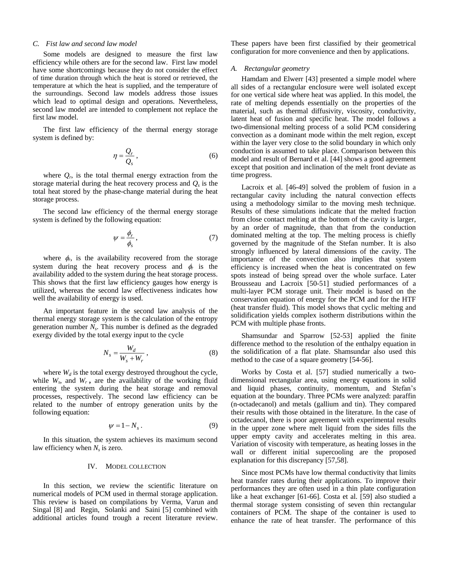## *C. Fist law and second law model*

Some models are designed to measure the first law efficiency while others are for the second law. First law model have some shortcomings because they do not consider the effect of time duration through which the heat is stored or retrieved, the temperature at which the heat is supplied, and the temperature of the surroundings. Second law models address those issues which lead to optimal design and operations. Nevertheless, second law model are intended to complement not replace the first law model.

The first law efficiency of the thermal energy storage system is defined by:

$$
\eta = \frac{Q_r}{Q_s},\tag{6}
$$

where  $Q_r$ , is the total thermal energy extraction from the storage material during the heat recovery process and  $Q_s$  is the total heat stored by the phase-change material during the heat storage process.

The second law efficiency of the thermal energy storage system is defined by the following equation:

$$
\psi = \frac{\phi_r}{\phi_s},\tag{7}
$$

where  $\phi_r$ , is the availability recovered from the storage system during the heat recovery process and  $\phi_r$  is the availability added to the system during the heat storage process. This shows that the first law efficiency gauges how energy is utilized, whereas the second law effectiveness indicates how well the availability of energy is used.

An important feature in the second law analysis of the thermal energy storage system is the calculation of the entropy generation number *N<sup>s</sup>* . This number is defined as the degraded exergy divided by the total exergy input to the cycle

$$
N_s = \frac{W_d}{W_s + W_r} \,,\tag{8}
$$

where  $W_d$  is the total exergy destroyed throughout the cycle, while  $W_s$ , and  $W_r$ , are the availability of the working fluid entering the system during the heat storage and removal processes, respectively. The second law efficiency can be related to the number of entropy generation units by the following equation:

$$
\psi = 1 - N_s \,. \tag{9}
$$

In this situation, the system achieves its maximum second law efficiency when *N<sup>s</sup>* is zero.

# IV. MODEL COLLECTION

In this section, we review the scientific literature on numerical models of PCM used in thermal storage application. This review is based on compilations by Verma, Varun and Singal [8] and Regin, Solanki and Saini [5] combined with additional articles found trough a recent literature review. These papers have been first classified by their geometrical configuration for more convenience and then by applications.

#### *A. Rectangular geometry*

Hamdam and Elwerr [43] presented a simple model where all sides of a rectangular enclosure were well isolated except for one vertical side where heat was applied. In this model, the rate of melting depends essentially on the properties of the material, such as thermal diffusivity, viscosity, conductivity, latent heat of fusion and specific heat. The model follows a two-dimensional melting process of a solid PCM considering convection as a dominant mode within the melt region, except within the layer very close to the solid boundary in which only conduction is assumed to take place. Comparison between this model and result of Bernard et al. [44] shows a good agreement except that position and inclination of the melt front deviate as time progress.

Lacroix et al. [46-49] solved the problem of fusion in a rectangular cavity including the natural convection effects using a methodology similar to the moving mesh technique. Results of these simulations indicate that the melted fraction from close contact melting at the bottom of the cavity is larger, by an order of magnitude, than that from the conduction dominated melting at the top. The melting process is chiefly governed by the magnitude of the Stefan number. It is also strongly influenced by lateral dimensions of the cavity. The importance of the convection also implies that system efficiency is increased when the heat is concentrated on few spots instead of being spread over the whole surface. Later Brousseau and Lacroix [50-51] studied performances of a multi-layer PCM storage unit. Their model is based on the conservation equation of energy for the PCM and for the HTF (heat transfer fluid). This model shows that cyclic melting and solidification yields complex isotherm distributions within the PCM with multiple phase fronts.

Shamsundar and Sparrow [52-53] applied the finite difference method to the resolution of the enthalpy equation in the solidification of a flat plate. Shamsundar also used this method to the case of a square geometry [54-56].

Works by Costa et al. [57] studied numerically a twodimensional rectangular area, using energy equations in solid and liquid phases, continuity, momentum, and Stefan's equation at the boundary. Three PCMs were analyzed: paraffin (n-octadecanol) and metals (gallium and tin). They compared their results with those obtained in the literature. In the case of octadecanol, there is poor agreement with experimental results in the upper zone where melt liquid from the sides fills the upper empty cavity and accelerates melting in this area. Variation of viscosity with temperature, as heating losses in the wall or different initial supercooling are the proposed explanation for this discrepancy [57,58].

Since most PCMs have low thermal conductivity that limits heat transfer rates during their applications. To improve their performances they are often used in a thin plate configuration like a heat exchanger [61-66]. Costa et al. [59] also studied a thermal storage system consisting of seven thin rectangular containers of PCM. The shape of the container is used to enhance the rate of heat transfer. The performance of this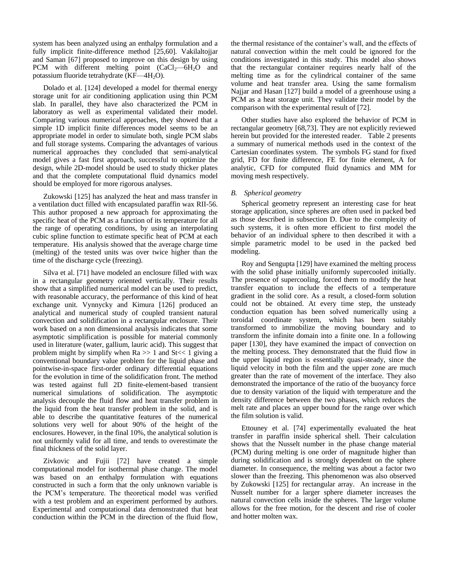system has been analyzed using an enthalpy formulation and a fully implicit finite-difference method [25,60]. Vakilaltojjar and Saman [67] proposed to improve on this design by using PCM with different melting point  $(CaCl<sub>2</sub>—6H<sub>2</sub>O$  and potassium fluoride tetrahydrate  $(KF-4H<sub>2</sub>O)$ .

Dolado et al. [124] developed a model for thermal energy storage unit for air conditioning application using thin PCM slab. In parallel, they have also characterized the PCM in laboratory as well as experimental validated their model. Comparing various numerical approaches, they showed that a simple 1D implicit finite differences model seems to be an appropriate model in order to simulate both, single PCM slabs and full storage systems. Comparing the advantages of various numerical approaches they concluded that semi-analytical model gives a fast first approach, successful to optimize the design, while 2D-model should be used to study thicker plates and that the complete computational fluid dynamics model should be employed for more rigorous analyses.

Zukowski [125] has analyzed the heat and mass transfer in a ventilation duct filled with encapsulated paraffin wax RII-56. This author proposed a new approach for approximating the specific heat of the PCM as a function of its temperature for all the range of operating conditions, by using an interpolating cubic spline function to estimate specific heat of PCM at each temperature. His analysis showed that the average charge time (melting) of the tested units was over twice higher than the time of the discharge cycle (freezing).

Silva et al. [71] have modeled an enclosure filled with wax in a rectangular geometry oriented vertically. Their results show that a simplified numerical model can be used to predict, with reasonable accuracy, the performance of this kind of heat exchange unit. Vynnycky and Kimura [126] produced an analytical and numerical study of coupled transient natural convection and solidification in a rectangular enclosure. Their work based on a non dimensional analysis indicates that some asymptotic simplification is possible for material commonly used in literature (water, gallium, lauric acid). This suggest that problem might by simplify when  $Ra \gg 1$  and  $St \ll 1$  giving a conventional boundary value problem for the liquid phase and pointwise-in-space first-order ordinary differential equations for the evolution in time of the solidification front. The method was tested against full 2D finite-element-based transient numerical simulations of solidification. The asymptotic analysis decouple the fluid flow and heat transfer problem in the liquid from the heat transfer problem in the solid, and is able to describe the quantitative features of the numerical solutions very well for about 90% of the height of the enclosures. However, in the final 10%, the analytical solution is not uniformly valid for all time, and tends to overestimate the final thickness of the solid layer.

Zivkovic and Fujii [72] have created a simple computational model for isothermal phase change. The model was based on an enthalpy formulation with equations constructed in such a form that the only unknown variable is the PCM's temperature. The theoretical model was verified with a test problem and an experiment performed by authors. Experimental and computational data demonstrated that heat conduction within the PCM in the direction of the fluid flow,

the thermal resistance of the container's wall, and the effects of natural convection within the melt could be ignored for the conditions investigated in this study. This model also shows that the rectangular container requires nearly half of the melting time as for the cylindrical container of the same volume and heat transfer area. Using the same formalism Najjar and Hasan [127] build a model of a greenhouse using a PCM as a heat storage unit. They validate their model by the comparison with the experimental result of [72].

Other studies have also explored the behavior of PCM in rectangular geometry [68,73]. They are not explicitly reviewed herein but provided for the interested reader. Table 2 presents a summary of numerical methods used in the context of the Cartesian coordinates system. The symbols FG stand for fixed grid, FD for finite difference, FE for finite element, A for analytic, CFD for computed fluid dynamics and MM for moving mesh respectively.

# *B. Spherical geometry*

Spherical geometry represent an interesting case for heat storage application, since spheres are often used in packed bed as those described in subsection D. Due to the complexity of such systems, it is often more efficient to first model the behavior of an individual sphere to then described it with a simple parametric model to be used in the packed bed modeling.

Roy and Sengupta [129] have examined the melting process with the solid phase initially uniformly supercooled initially. The presence of supercooling, forced them to modify the heat transfer equation to include the effects of a temperature gradient in the solid core. As a result, a closed-form solution could not be obtained. At every time step, the unsteady conduction equation has been solved numerically using a toroidal coordinate system, which has been suitably transformed to immobilize the moving boundary and to transform the infinite domain into a finite one. In a following paper [130], they have examined the impact of convection on the melting process. They demonstrated that the fluid flow in the upper liquid region is essentially quasi-steady, since the liquid velocity in both the film and the upper zone are much greater than the rate of movement of the interface. They also demonstrated the importance of the ratio of the buoyancy force due to density variation of the liquid with temperature and the density difference between the two phases, which reduces the melt rate and places an upper bound for the range over which the film solution is valid.

Ettouney et al. [74] experimentally evaluated the heat transfer in paraffin inside spherical shell. Their calculation shows that the Nusselt number in the phase change material (PCM) during melting is one order of magnitude higher than during solidification and is strongly dependent on the sphere diameter. In consequence, the melting was about a factor two slower than the freezing. This phenomenon was also observed by Zukowski [125] for rectangular array. An increase in the Nusselt number for a larger sphere diameter increases the natural convection cells inside the spheres. The larger volume allows for the free motion, for the descent and rise of cooler and hotter molten wax.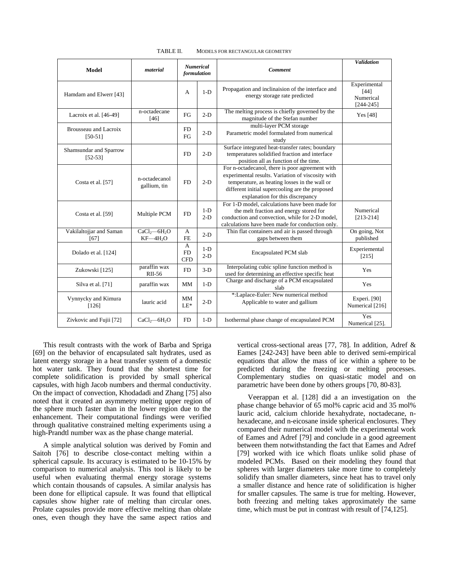| <b>Model</b>                        | material                                          | <b>Numerical</b><br>formulation |                | <b>Comment</b>                                                                                                                                                                                                                               | <b>Validation</b>                                    |
|-------------------------------------|---------------------------------------------------|---------------------------------|----------------|----------------------------------------------------------------------------------------------------------------------------------------------------------------------------------------------------------------------------------------------|------------------------------------------------------|
| Hamdam and Elwerr [43]              |                                                   | А                               | $1-D$          | Propagation and inclinaision of the interface and<br>energy storage rate predicted                                                                                                                                                           | Experimental<br>$[44]$<br>Numerical<br>$[244 - 245]$ |
| Lacroix et al. [46-49]              | n-octadecane<br>[46]                              | FG                              | $2-D$          | The melting process is chiefly governed by the<br>magnitude of the Stefan number                                                                                                                                                             | Yes [48]                                             |
| Brousseau and Lacroix<br>$[50-51]$  |                                                   | <b>FD</b><br>FG                 | $2-D$          | multi-layer PCM storage<br>Parametric model formulated from numerical<br>study                                                                                                                                                               |                                                      |
| Shamsundar and Sparrow<br>$[52-53]$ |                                                   | <b>FD</b>                       | $2-D$          | Surface integrated heat-transfer rates; boundary<br>temperatures solidified fraction and interface<br>position all as function of the time.                                                                                                  |                                                      |
| Costa et al. [57]                   | n-octadecanol<br>gallium, tin                     | <b>FD</b>                       | $2-D$          | For n-octadecanol, there is poor agreement with<br>experimental results. Variation of viscosity with<br>temperature, as heating losses in the wall or<br>different initial supercooling are the proposed<br>explanation for this discrepancy |                                                      |
| Costa et al. [59]                   | Multiple PCM                                      | <b>FD</b>                       | $1-D$<br>$2-D$ | For 1-D model, calculations have been made for<br>the melt fraction and energy stored for<br>conduction and convection, while for 2-D model,<br>calculations have been made for conduction only.                                             | Numerical<br>$[213-214]$                             |
| Vakilaltojjar and Saman<br>[67]     | CaCl <sub>2</sub> —6H <sub>2</sub> O<br>$KF-4H2O$ | A<br><b>FE</b>                  | $2-D$          | Thin flat containers and air is passed through<br>gaps between them                                                                                                                                                                          | On going, Not<br>published                           |
| Dolado et al. [124]                 |                                                   | A<br><b>FD</b><br><b>CFD</b>    | $1-D$<br>$2-D$ | <b>Encapsulated PCM slab</b>                                                                                                                                                                                                                 | Experiemental<br>$[215]$                             |
| Zukowski [125]                      | paraffin wax<br>RII-56                            | <b>FD</b>                       | $3-D$          | Interpolating cubic spline function method is<br>used for determining an effective specific heat                                                                                                                                             | <b>Yes</b>                                           |
| Silva et al. [71]                   | paraffin wax                                      | <b>MM</b>                       | $1-D$          | Charge and discharge of a PCM encapsulated<br>slab                                                                                                                                                                                           | Yes                                                  |
| Vynnycky and Kimura<br>$[126]$      | lauric acid                                       | MM<br>$LE^*$                    | $2-D$          | *:Laplace-Euler: New numerical method<br>Applicable to water and gallium                                                                                                                                                                     | Experi. [90]<br>Numerical [216]                      |
| Zivkovic and Fujii [72]             | $CaCl2$ -6H <sub>2</sub> O                        | <b>FD</b>                       | $1-D$          | Isothermal phase change of encapsulated PCM                                                                                                                                                                                                  | Yes<br>Numerical [25].                               |

TABLE II. MODELS FOR RECTANGULAR GEOMETRY

This result contrasts with the work of Barba and Spriga [69] on the behavior of encapsulated salt hydrates, used as latent energy storage in a heat transfer system of a domestic hot water tank. They found that the shortest time for complete solidification is provided by small spherical capsules, with high Jacob numbers and thermal conductivity. On the impact of convection, Khodadadi and Zhang [75] also noted that it created an asymmetry melting upper region of the sphere much faster than in the lower region due to the enhancement. Their computational findings were verified through qualitative constrained melting experiments using a high-Prandtl number wax as the phase change material.

A simple analytical solution was derived by Fomin and Saitoh [76] to describe close-contact melting within a spherical capsule. Its accuracy is estimated to be 10-15% by comparison to numerical analysis. This tool is likely to be useful when evaluating thermal energy storage systems which contain thousands of capsules. A similar analysis has been done for elliptical capsule. It was found that elliptical capsules show higher rate of melting than circular ones. Prolate capsules provide more effective melting than oblate ones, even though they have the same aspect ratios and

vertical cross-sectional areas [77, 78]. In addition, Adref & Eames [242-243] have been able to derived semi-empirical equations that allow the mass of ice within a sphere to be predicted during the freezing or melting processes. Complementary studies on quasi-static model and on parametric have been done by others groups [70, 80-83].

Veerappan et al. [128] did a an investigation on the phase change behavior of 65 mol% capric acid and 35 mol% lauric acid, calcium chloride hexahydrate, noctadecane, nhexadecane, and n-eicosane inside spherical enclosures. They compared their numerical model with the experimental work of Eames and Adref [79] and conclude in a good agreement between them notwithstanding the fact that Eames and Adref [79] worked with ice which floats unlike solid phase of modeled PCMs. Based on their modeling they found that spheres with larger diameters take more time to completely solidify than smaller diameters, since heat has to travel only a smaller distance and hence rate of solidification is higher for smaller capsules. The same is true for melting. However, both freezing and melting takes approximately the same time, which must be put in contrast with result of [74,125].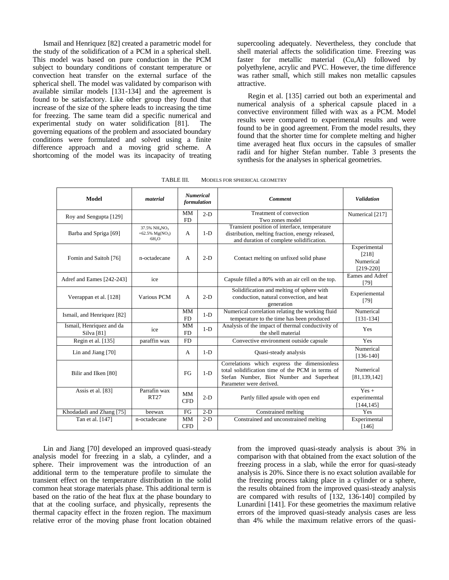Ismail and Henriquez [82] created a parametric model for the study of the solidification of a PCM in a spherical shell. This model was based on pure conduction in the PCM subject to boundary conditions of constant temperature or convection heat transfer on the external surface of the spherical shell. The model was validated by comparison with available similar models [131-134] and the agreement is found to be satisfactory. Like other group they found that increase of the size of the sphere leads to increasing the time for freezing. The same team did a specific numerical and experimental study on water solidification [81]. The governing equations of the problem and associated boundary conditions were formulated and solved using a finite difference approach and a moving grid scheme. A shortcoming of the model was its incapacity of treating

supercooling adequately. Nevertheless, they conclude that shell material affects the solidification time. Freezing was faster for metallic material (Cu,Al) followed by polyethylene, acrylic and PVC. However, the time difference was rather small, which still makes non metallic capsules attractive.

Regin et al. [135] carried out both an experimental and numerical analysis of a spherical capsule placed in a convective environment filled with wax as a PCM. Model results were compared to experimental results and were found to be in good agreement. From the model results, they found that the shorter time for complete melting and higher time averaged heat flux occurs in the capsules of smaller radii and for higher Stefan number. Table 3 presents the synthesis for the analyses in spherical geometries.

| Model                                  | material                                                              | formulation             | <b>Numerical</b> | <b>Comment</b>                                                                                                                                                          | <b>Validation</b>                                 |
|----------------------------------------|-----------------------------------------------------------------------|-------------------------|------------------|-------------------------------------------------------------------------------------------------------------------------------------------------------------------------|---------------------------------------------------|
| Roy and Sengupta [129]                 |                                                                       | <b>MM</b><br><b>FD</b>  | $2-D$            | Treatment of convection<br>Two zones model                                                                                                                              | Numerical [217]                                   |
| Barba and Spriga [69]                  | 37.5% NH <sub>4</sub> NO <sub>3</sub><br>+62.5% $Mg(NO_3)$<br>$-6H2O$ | А                       | $1-D$            | Transient position of interface, temperature<br>distribution, melting fraction, energy released,<br>and duration of complete solidification.                            |                                                   |
| Fomin and Saitoh [76]                  | n-octadecane                                                          | A                       | $2-D$            | Contact melting on unfixed solid phase                                                                                                                                  | Experimental<br>[218]<br>Numerical<br>$[219-220]$ |
| Adref and Eames [242-243]              | ice                                                                   |                         |                  | Capsule filled a 80% with an air cell on the top.                                                                                                                       | Eames and Adref<br>[79]                           |
| Veerappan et al. [128]                 | Various PCM                                                           | A                       | $2-D$            | Solidification and melting of sphere with<br>conduction, natural convection, and heat<br>generation                                                                     | Experiemental<br>[79]                             |
| Ismail, and Henriquez [82]             |                                                                       | MM<br><b>FD</b>         | $1-D$            | Numerical correlation relating the working fluid<br>temperature to the time has been produced                                                                           | Numerical<br>$[131-134]$                          |
| Ismail, Henriquez and da<br>Silva [81] | ice                                                                   | <b>MM</b><br><b>FD</b>  | $1-D$            | Analysis of the impact of thermal conductivity of<br>the shell material                                                                                                 | Yes                                               |
| Regin et al. [135]                     | paraffin wax                                                          | <b>FD</b>               |                  | Convective environment outside capsule                                                                                                                                  | Yes                                               |
| Lin and Jiang [70]                     |                                                                       | $\mathsf{A}$            | $1-D$            | Quasi-steady analysis                                                                                                                                                   | Numerical<br>$[136-140]$                          |
| Bilir and Ilken [80]                   |                                                                       | FG                      | $1-D$            | Correlations which express the dimensionless<br>total solidification time of the PCM in terms of<br>Stefan Number, Biot Number and Superheat<br>Parameter were derived. | Numerical<br>[81, 139, 142]                       |
| Assis et al. [83]                      | Parrafin wax<br>RT27                                                  | <b>MM</b><br><b>CFD</b> | $2-D$            | Partly filled apsule with open end                                                                                                                                      | $Yes +$<br>experimemtal<br>[144, 145]             |
| Khodadadi and Zhang [75]               | beewax                                                                | FG                      | $2-D$            | Constrained melting                                                                                                                                                     | Yes                                               |
| Tan et al. [147]                       | n-octadecane                                                          | <b>MM</b><br><b>CFD</b> | $2-D$            | Constrained and unconstrained melting                                                                                                                                   | Experimental<br>[146]                             |

TABLE III. MODELS FOR SPHERICAL GEOMETRY

Lin and Jiang [70] developed an improved quasi-steady analysis model for freezing in a slab, a cylinder, and a sphere. Their improvement was the introduction of an additional term to the temperature profile to simulate the transient effect on the temperature distribution in the solid common heat storage materials phase. This additional term is based on the ratio of the heat flux at the phase boundary to that at the cooling surface, and physically, represents the thermal capacity effect in the frozen region. The maximum relative error of the moving phase front location obtained

from the improved quasi-steady analysis is about 3% in comparison with that obtained from the exact solution of the freezing process in a slab, while the error for quasi-steady analysis is 20%. Since there is no exact solution available for the freezing process taking place in a cylinder or a sphere, the results obtained from the improved quasi-steady analysis are compared with results of [132, 136-140] compiled by Lunardini [141]. For these geometries the maximum relative errors of the improved quasi-steady analysis cases are less than 4% while the maximum relative errors of the quasi-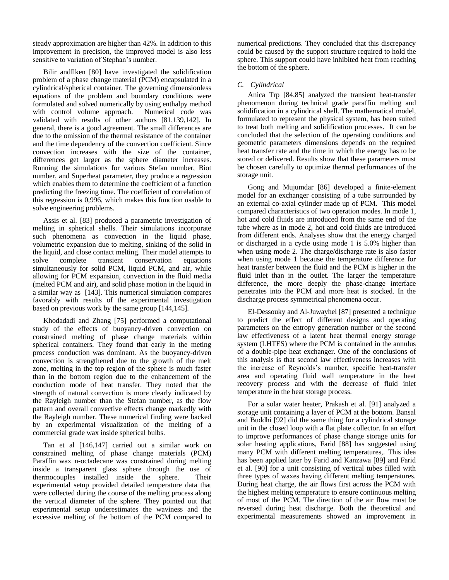steady approximation are higher than 42%. In addition to this improvement in precision, the improved model is also less sensitive to variation of Stephan's number.

Bilir andIlken [80] have investigated the solidification problem of a phase change material (PCM) encapsulated in a cylindrical/spherical container. The governing dimensionless equations of the problem and boundary conditions were formulated and solved numerically by using enthalpy method with control volume approach. Numerical code was validated with results of other authors [81,139,142]. In general, there is a good agreement. The small differences are due to the omission of the thermal resistance of the container and the time dependency of the convection coefficient. Since convection increases with the size of the container, differences get larger as the sphere diameter increases. Running the simulations for various Stefan number, Biot number, and Superheat parameter, they produce a regression which enables them to determine the coefficient of a function predicting the freezing time. The coefficient of correlation of this regression is 0,996, which makes this function usable to solve engineering problems.

Assis et al. [83] produced a parametric investigation of melting in spherical shells. Their simulations incorporate such phenomena as convection in the liquid phase, volumetric expansion due to melting, sinking of the solid in the liquid, and close contact melting. Their model attempts to solve complete transient conservation equations simultaneously for solid PCM, liquid PCM, and air, while allowing for PCM expansion, convection in the fluid media (melted PCM and air), and solid phase motion in the liquid in a similar way as [143]. This numerical simulation compares favorably with results of the experimental investigation based on previous work by the same group [144,145].

Khodadadi and Zhang [75] performed a computational study of the effects of buoyancy-driven convection on constrained melting of phase change materials within spherical containers. They found that early in the meting process conduction was dominant. As the buoyancy-driven convection is strengthened due to the growth of the melt zone, melting in the top region of the sphere is much faster than in the bottom region due to the enhancement of the conduction mode of heat transfer. They noted that the strength of natural convection is more clearly indicated by the Rayleigh number than the Stefan number, as the flow pattern and overall convective effects change markedly with the Rayleigh number. These numerical finding were backed by an experimental visualization of the melting of a commercial grade wax inside spherical bulbs.

Tan et al [146,147] carried out a similar work on constrained melting of phase change materials (PCM) Paraffin wax n-octadecane was constrained during melting inside a transparent glass sphere through the use of thermocouples installed inside the sphere. Their experimental setup provided detailed temperature data that were collected during the course of the melting process along the vertical diameter of the sphere. They pointed out that experimental setup underestimates the waviness and the excessive melting of the bottom of the PCM compared to

numerical predictions. They concluded that this discrepancy could be caused by the support structure required to hold the sphere. This support could have inhibited heat from reaching the bottom of the sphere.

# *C. Cylindrical*

Anica Trp [84,85] analyzed the transient heat-transfer phenomenon during technical grade paraffin melting and solidification in a cylindrical shell. The mathematical model, formulated to represent the physical system, has been suited to treat both melting and solidification processes. It can be concluded that the selection of the operating conditions and geometric parameters dimensions depends on the required heat transfer rate and the time in which the energy has to be stored or delivered. Results show that these parameters must be chosen carefully to optimize thermal performances of the storage unit.

Gong and Mujumdar [86] developed a finite-element model for an exchanger consisting of a tube surrounded by an external co-axial cylinder made up of PCM. This model compared characteristics of two operation modes. In mode 1, hot and cold fluids are introduced from the same end of the tube where as in mode 2, hot and cold fluids are introduced from different ends. Analyses show that the energy charged or discharged in a cycle using mode 1 is 5.0% higher than when using mode 2. The charge/discharge rate is also faster when using mode 1 because the temperature difference for heat transfer between the fluid and the PCM is higher in the fluid inlet than in the outlet. The larger the temperature difference, the more deeply the phase-change interface penetrates into the PCM and more heat is stocked. In the discharge process symmetrical phenomena occur.

El-Dessouky and Al-Juwayhel [87] presented a technique to predict the effect of different designs and operating parameters on the entropy generation number or the second law effectiveness of a latent heat thermal energy storage system (LHTES) where the PCM is contained in the annulus of a double-pipe heat exchanger. One of the conclusions of this analysis is that second law effectiveness increases with the increase of Reynolds's number, specific heat-transfer area and operating fluid wall temperature in the heat recovery process and with the decrease of fluid inlet temperature in the heat storage process.

For a solar water heater, Prakash et al. [91] analyzed a storage unit containing a layer of PCM at the bottom. Bansal and Buddhi [92] did the same thing for a cylindrical storage unit in the closed loop with a flat plate collector. In an effort to improve performances of phase change storage units for solar heating applications, Farid [88] has suggested using many PCM with different melting temperatures,. This idea has been applied later by Farid and Kanzawa [89] and Farid et al. [90] for a unit consisting of vertical tubes filled with three types of waxes having different melting temperatures. During heat charge, the air flows first across the PCM with the highest melting temperature to ensure continuous melting of most of the PCM. The direction of the air flow must be reversed during heat discharge. Both the theoretical and experimental measurements showed an improvement in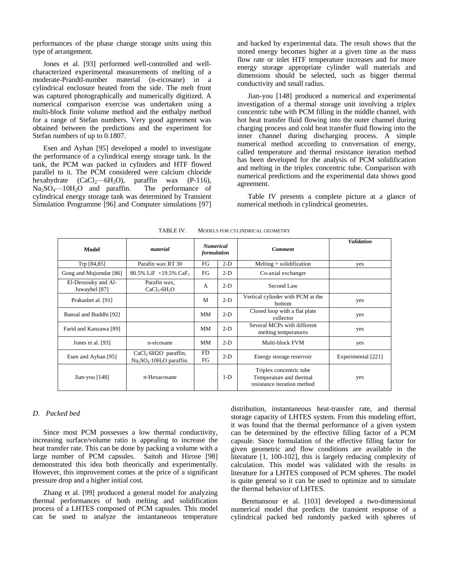performances of the phase change storage units using this type of arrangement.

Jones et al. [93] performed well-controlled and wellcharacterized experimental measurements of melting of a moderate-Prandtl-number material (n-eicosane) in a cylindrical enclosure heated from the side. The melt front was captured photographically and numerically digitized. A numerical comparison exercise was undertaken using a multi-block finite volume method and the enthalpy method for a range of Stefan numbers. Very good agreement was obtained between the predictions and the experiment for Stefan numbers of up to 0.1807.

Esen and Ayhan [95] developed a model to investigate the performance of a cylindrical energy storage tank. In the tank, the PCM was packed in cylinders and HTF flowed parallel to it. The PCM considered were calcium chloride hexahydrate  $(CaCl_2-6H_2O)$ , paraffin wax (P-116),<br>Na<sub>2</sub>SO<sub>4</sub>—10H<sub>2</sub>O and paraffin. The performance of  $Na<sub>2</sub>SO<sub>4</sub>$ —10H<sub>2</sub>O and paraffin. cylindrical energy storage tank was determined by Transient Simulation Programme [96] and Computer simulations [97]

and backed by experimental data. The result shows that the stored energy becomes higher at a given time as the mass flow rate or inlet HTF temperature increases and for more energy storage appropriate cylinder wall materials and dimensions should be selected, such as bigger thermal conductivity and small radius.

Jian-you [148] produced a numerical and experimental investigation of a thermal storage unit involving a triplex concentric tube with PCM filling in the middle channel, with hot heat transfer fluid flowing into the outer channel during charging process and cold heat transfer fluid flowing into the inner channel during discharging process. A simple numerical method according to conversation of energy, called temperature and thermal resistance iteration method has been developed for the analysis of PCM solidification and melting in the triplex concentric tube. Comparison with numerical predictions and the experimental data shows good agreement.

Table IV presents a complete picture at a glance of numerical methods in cylindrical geometries.

| Model                                | material                                           | <b>Numerical</b><br>formulation |       | <b>Comment</b>                                                                    | <b>Validation</b>  |
|--------------------------------------|----------------------------------------------------|---------------------------------|-------|-----------------------------------------------------------------------------------|--------------------|
| Trp [84,85]                          | Parafin wax RT 30                                  | FG                              | $2-D$ | $Melting + solidification$                                                        | yes                |
| Gong and Mujumdar [86]               | 80.5% LiF $+19.5%$ CaF,                            | FG                              | $2-D$ | Co-axial exchanger                                                                |                    |
| El-Dessouky and Al-<br>Juwayhel [87] | Parafin wax,<br>$CaCl2-6H2O$                       | $\overline{A}$                  | $2-D$ | Second Law                                                                        |                    |
| Prakashet al. [91]                   |                                                    | M                               | $2-D$ | Vertical cylinder with PCM at the<br>bottom                                       | yes                |
| Bansal and Buddhi [92]               |                                                    | MM                              | $2-D$ | Closed loop with a flat plate<br>collector                                        | yes                |
| Farid and Kanzawa [89]               |                                                    | MМ                              | $2-D$ | Several MCPs with different<br>melting temperatures                               | yes                |
| Jones et al. [93]                    | n-eicosane                                         | MM                              | $2-D$ | Multi-block FVM                                                                   | yes                |
| Esen and Ayhan [95]                  | $CaCl2·6H2O$ paraffin,<br>$Na2SO4·10H2O$ paraffin. | <b>FD</b><br>FG                 | $2-D$ | Energy storage reservoir                                                          | Experimental [221] |
| Jian-you $[148]$                     | n-Hexacosane                                       |                                 | $1-D$ | Triplex concentric tube<br>Temperature and thermal<br>resistance iteration method | yes                |

TABLE IV. MODELS FOR CYLINDRICAL GEOMETRY

## *D. Packed bed*

Since most PCM possesses a low thermal conductivity, increasing surface/volume ratio is appealing to increase the heat transfer rate. This can be done by packing a volume with a large number of PCM capsules. Saitoh and Hirose [98] demonstrated this idea both theorically and experimentally. However, this improvement comes at the price of a significant pressure drop and a higher initial cost.

Zhang et al. [99] produced a general model for analyzing thermal performances of both melting and solidification process of a LHTES composed of PCM capsules. This model can be used to analyze the instantaneous temperature

distribution, instantaneous heat-transfer rate, and thermal storage capacity of LHTES system. From this modeling effort, it was found that the thermal performance of a given system can be determined by the effective filling factor of a PCM capsule. Since formulation of the effective filling factor for given geometric and flow conditions are available in the literature [1, 100-102], this is largely reducing complexity of calculation. This model was validated with the results in literature for a LHTES composed of PCM spheres. The model is quite general so it can be used to optimize and to simulate the thermal behavior of LHTES.

Benmansour et al. [103] developed a two-dimensional numerical model that predicts the transient response of a cylindrical packed bed randomly packed with spheres of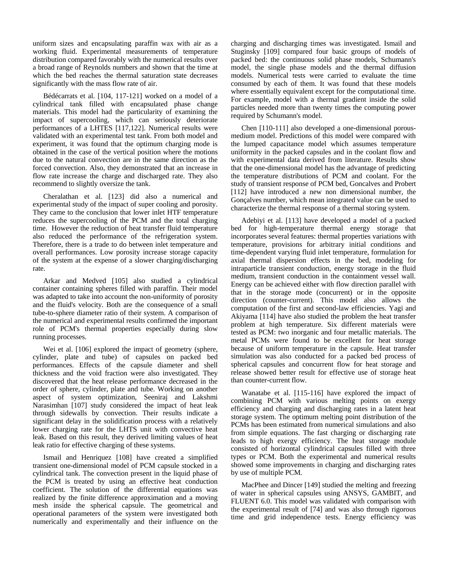uniform sizes and encapsulating paraffin wax with air as a working fluid. Experimental measurements of temperature distribution compared favorably with the numerical results over a broad range of Reynolds numbers and shown that the time at which the bed reaches the thermal saturation state decreases significantly with the mass flow rate of air.

Bédécarrats et al. [104, 117-121] worked on a model of a cylindrical tank filled with encapsulated phase change materials. This model had the particularity of examining the impact of supercooling, which can seriously deteriorate performances of a LHTES [117,122]. Numerical results were validated with an experimental test tank. From both model and experiment, it was found that the optimum charging mode is obtained in the case of the vertical position where the motions due to the natural convection are in the same direction as the forced convection. Also, they demonstrated that an increase in flow rate increase the charge and discharged rate. They also recommend to slightly oversize the tank.

Cheralathan et al. [123] did also a numerical and experimental study of the impact of super cooling and porosity. They came to the conclusion that lower inlet HTF temperature reduces the supercooling of the PCM and the total charging time. However the reduction of heat transfer fluid temperature also reduced the performance of the refrigeration system. Therefore, there is a trade to do between inlet temperature and overall performances. Low porosity increase storage capacity of the system at the expense of a slower charging/discharging rate.

Arkar and Medved [105] also studied a cylindrical container containing spheres filled with paraffin. Their model was adapted to take into account the non-uniformity of porosity and the fluid's velocity. Both are the consequence of a small tube-to-sphere diameter ratio of their system. A comparison of the numerical and experimental results confirmed the important role of PCM's thermal properties especially during slow running processes.

Wei et al. [106] explored the impact of geometry (sphere, cylinder, plate and tube) of capsules on packed bed performances. Effects of the capsule diameter and shell thickness and the void fraction were also investigated. They discovered that the heat release performance decreased in the order of sphere, cylinder, plate and tube. Working on another aspect of system optimization, Seeniraj and Lakshmi Narasimhan [107] study considered the impact of heat leak through sidewalls by convection. Their results indicate a significant delay in the solidification process with a relatively lower charging rate for the LHTS unit with convective heat leak. Based on this result, they derived limiting values of heat leak ratio for effective charging of these systems.

Ismail and Henriquez [108] have created a simplified transient one-dimensional model of PCM capsule stocked in a cylindrical tank. The convection present in the liquid phase of the PCM is treated by using an effective heat conduction coefficient. The solution of the differential equations was realized by the finite difference approximation and a moving mesh inside the spherical capsule. The geometrical and operational parameters of the system were investigated both numerically and experimentally and their influence on the

charging and discharging times was investigated. Ismail and Stuginsky [109] compared four basic groups of models of packed bed: the continuous solid phase models, Schumann's model, the single phase models and the thermal diffusion models. Numerical tests were carried to evaluate the time consumed by each of them. It was found that these models where essentially equivalent except for the computational time. For example, model with a thermal gradient inside the solid particles needed more than twenty times the computing power required by Schumann's model.

Chen [110-111] also developed a one-dimensional porousmedium model. Predictions of this model were compared with the lumped capacitance model which assumes temperature uniformity in the packed capsules and in the coolant flow and with experimental data derived from literature. Results show that the one-dimensional model has the advantage of predicting the temperature distributions of PCM and coolant. For the study of transient response of PCM bed, Goncalves and Probert [112] have introduced a new non dimensional number, the Gonçalves number, which mean integrated value can be used to characterize the thermal response of a thermal storing system.

Adebiyi et al. [113] have developed a model of a packed bed for high-temperature thermal energy storage that incorporates several features: thermal properties variations with temperature, provisions for arbitrary initial conditions and time-dependent varying fluid inlet temperature, formulation for axial thermal dispersion effects in the bed, modeling for intraparticle transient conduction, energy storage in the fluid medium, transient conduction in the containment vessel wall. Energy can be achieved either with flow direction parallel with that in the storage mode (concurrent) or in the opposite direction (counter-current). This model also allows the computation of the first and second-law efficiencies. Yagi and Akiyama [114] have also studied the problem the heat transfer problem at high temperature. Six different materials were tested as PCM: two inorganic and four metallic materials. The metal PCMs were found to be excellent for heat storage because of uniform temperature in the capsule. Heat transfer simulation was also conducted for a packed bed process of spherical capsules and concurrent flow for heat storage and release showed better result for effective use of storage heat than counter-current flow.

Wanatabe et al. [115-116] have explored the impact of combining PCM with various melting points on exergy efficiency and charging and discharging rates in a latent heat storage system. The optimum melting point distribution of the PCMs has been estimated from numerical simulations and also from simple equations. The fast charging or discharging rate leads to high exergy efficiency. The heat storage module consisted of horizontal cylindrical capsules filled with three types or PCM. Both the experimental and numerical results showed some improvements in charging and discharging rates by use of multiple PCM.

MacPhee and Dincer [149] studied the melting and freezing of water in spherical capsules using ANSYS, GAMBIT, and FLUENT 6.0. This model was validated with comparison with the experimental result of [74] and was also through rigorous time and grid independence tests. Energy efficiency was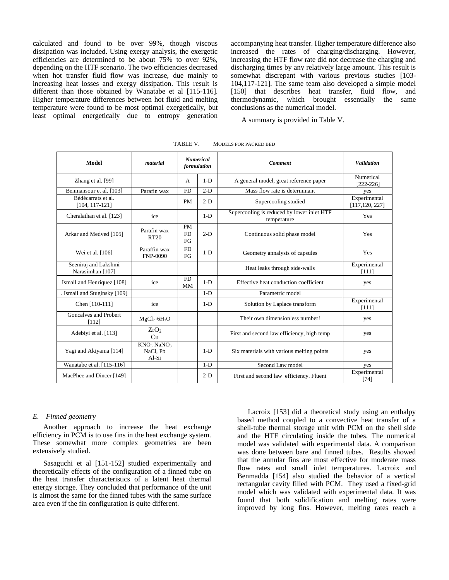calculated and found to be over 99%, though viscous dissipation was included. Using exergy analysis, the exergetic efficiencies are determined to be about 75% to over 92%, depending on the HTF scenario. The two efficiencies decreased when hot transfer fluid flow was increase, due mainly to increasing heat losses and exergy dissipation. This result is different than those obtained by Wanatabe et al [115-116]. Higher temperature differences between hot fluid and melting temperature were found to be most optimal exergetically, but least optimal energetically due to entropy generation

accompanying heat transfer. Higher temperature difference also increased the rates of charging/discharging. However, increasing the HTF flow rate did not decrease the charging and discharging times by any relatively large amount. This result is somewhat discrepant with various previous studies [103-104,117-121]. The same team also developed a simple model [150] that describes heat transfer, fluid flow, and thermodynamic, which brought essentially the same conclusions as the numerical model.

A summary is provided in Table V.

| Model                                    | material                                                   | <b>Numerical</b><br>formulation |       | <b>Comment</b>                                            | <b>Validation</b>               |
|------------------------------------------|------------------------------------------------------------|---------------------------------|-------|-----------------------------------------------------------|---------------------------------|
| Zhang et al. [99]                        |                                                            | $\mathsf{A}$                    | $1-D$ | A general model, great reference paper                    | Numerical<br>$[222-226]$        |
| Benmansour et al. [103]                  | Parafin wax                                                | <b>FD</b>                       | $2-D$ | Mass flow rate is determinant                             | yes                             |
| Bédécarrats et al.<br>$[104, 117 - 121]$ |                                                            | <b>PM</b>                       | $2-D$ | Supercooling studied                                      | Experimental<br>[117, 120, 227] |
| Cheralathan et al. [123]                 | ice                                                        |                                 | $1-D$ | Supercooling is reduced by lower inlet HTF<br>temperature | Yes                             |
| Arkar and Medved [105]                   | Parafin wax<br><b>RT20</b>                                 | <b>PM</b><br><b>FD</b><br>FG    | $2-D$ | Continuous solid phase model                              | Yes                             |
| Wei et al. [106]                         | Paraffin wax<br><b>FNP-0090</b>                            | <b>FD</b><br>FG                 | $1-D$ | Geometry annalysis of capsules                            | Yes                             |
| Seeniraj and Lakshmi<br>Narasimhan [107] |                                                            |                                 |       | Heat leaks through side-walls                             | Experimental<br>[111]           |
| Ismail and Henriquez [108]               | ice                                                        | ${\rm FD}$<br><b>MM</b>         | $1-D$ | Effective heat conduction coefficient                     | yes                             |
| . Ismail and Stuginsky [109]             |                                                            |                                 | $1-D$ | Parametric model                                          |                                 |
| Chen [110-111]                           | ice                                                        |                                 | $1-D$ | Solution by Laplace transform                             | Experimental<br>[111]           |
| Goncalves and Probert<br>[112]           | MgCl <sub>2</sub> ·6H <sub>2</sub> O                       |                                 |       | Their own dimensionless number!                           | yes                             |
| Adebiyi et al. [113]                     | ZrO <sub>2</sub><br>Cu                                     |                                 |       | First and second law efficiency, high temp                | yes                             |
| Yagi and Akiyama [114]                   | KNO <sub>3</sub> -NaNO <sub>3</sub><br>NaCl, Pb<br>$Al-Si$ |                                 | $1-D$ | Six materials with various melting points                 | yes                             |
| Wanatabe et al. [115-116]                |                                                            |                                 | $1-D$ | Second Law model                                          | yes                             |
| MacPhee and Dincer [149]                 |                                                            |                                 | $2-D$ | First and second law efficiency. Fluent                   | Experimental<br>$[74]$          |

TABLE V. MODELS FOR PACKED BED

#### *E. Finned geometry*

Another approach to increase the heat exchange efficiency in PCM is to use fins in the heat exchange system. These somewhat more complex geometries are been extensively studied.

Sasaguchi et al [151-152] studied experimentally and theoretically effects of the configuration of a finned tube on the heat transfer characteristics of a latent heat thermal energy storage. They concluded that performance of the unit is almost the same for the finned tubes with the same surface area even if the fin configuration is quite different.

Lacroix [153] did a theoretical study using an enthalpy based method coupled to a convective heat transfer of a shell-tube thermal storage unit with PCM on the shell side and the HTF circulating inside the tubes. The numerical model was validated with experimental data. A comparison was done between bare and finned tubes. Results showed that the annular fins are most effective for moderate mass flow rates and small inlet temperatures. Lacroix and Benmadda [154] also studied the behavior of a vertical rectangular cavity filled with PCM. They used a fixed-grid model which was validated with experimental data. It was found that both solidification and melting rates were improved by long fins. However, melting rates reach a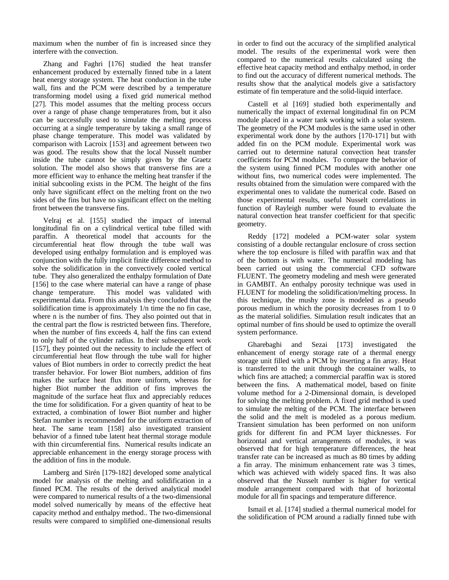maximum when the number of fin is increased since they interfere with the convection.

Zhang and Faghri [176] studied the heat transfer enhancement produced by externally finned tube in a latent heat energy storage system. The heat conduction in the tube wall, fins and the PCM were described by a temperature transforming model using a fixed grid numerical method [27]. This model assumes that the melting process occurs over a range of phase change temperatures from, but it also can be successfully used to simulate the melting process occurring at a single temperature by taking a small range of phase change temperature. This model was validated by comparison with Lacroix [153] and agreement between two was good. The results show that the local Nusselt number inside the tube cannot be simply given by the Graetz solution. The model also shows that transverse fins are a more efficient way to enhance the melting heat transfer if the initial subcooling exists in the PCM. The height of the fins only have significant effect on the melting front on the two sides of the fins but have no significant effect on the melting front between the transverse fins.

Velraj et al. [155] studied the impact of internal longitudinal fin on a cylindrical vertical tube filled with paraffin. A theoretical model that accounts for the circumferential heat flow through the tube wall was developed using enthalpy formulation and is employed was conjunction with the fully implicit finite difference method to solve the solidification in the convectively cooled vertical tube. They also generalized the enthalpy formulation of Date [156] to the case where material can have a range of phase change temperature. This model was validated with experimental data. From this analysis they concluded that the solidification time is approximately 1/n time the no fin case, where n is the number of fins. They also pointed out that in the central part the flow is restricted between fins. Therefore, when the number of fins exceeds 4, half the fins can extend to only half of the cylinder radius. In their subsequent work [157], they pointed out the necessity to include the effect of circumferential heat flow through the tube wall for higher values of Biot numbers in order to correctly predict the heat transfer behavior. For lower Biot numbers, addition of fins makes the surface heat flux more uniform, whereas for higher Biot number the addition of fins improves the magnitude of the surface heat flux and appreciably reduces the time for solidification. For a given quantity of heat to be extracted, a combination of lower Biot number and higher Stefan number is recommended for the uniform extraction of heat. The same team [158] also investigated transient behavior of a finned tube latent heat thermal storage module with thin circumferential fins. Numerical results indicate an appreciable enhancement in the energy storage process with the addition of fins in the module.

Lamberg and Sirén [179-182] developed some analytical model for analysis of the melting and solidification in a finned PCM. The results of the derived analytical model were compared to numerical results of a the two-dimensional model solved numerically by means of the effective heat capacity method and enthalpy method.. The two-dimensional results were compared to simplified one-dimensional results

in order to find out the accuracy of the simplified analytical model. The results of the experimental work were then compared to the numerical results calculated using the effective heat capacity method and enthalpy method, in order to find out the accuracy of different numerical methods. The results show that the analytical models give a satisfactory estimate of fin temperature and the solid-liquid interface.

Castell et al [169] studied both experimentally and numerically the impact of external longitudinal fin on PCM module placed in a water tank working with a solar system. The geometry of the PCM modules is the same used in other experimental work done by the authors [170-171] but with added fin on the PCM module. Experimental work was carried out to determine natural convection heat transfer coefficients for PCM modules. To compare the behavior of the system using finned PCM modules with another one without fins, two numerical codes were implemented. The results obtained from the simulation were compared with the experimental ones to validate the numerical code. Based on those experimental results, useful Nusselt correlations in function of Rayleigh number were found to evaluate the natural convection heat transfer coefficient for that specific geometry.

Reddy [172] modeled a PCM-water solar system consisting of a double rectangular enclosure of cross section where the top enclosure is filled with paraffin wax and that of the bottom is with water. The numerical modeling has been carried out using the commercial CFD software FLUENT. The geometry modeling and mesh were generated in GAMBIT. An enthalpy porosity technique was used in FLUENT for modeling the solidification/melting process. In this technique, the mushy zone is modeled as a pseudo porous medium in which the porosity decreases from 1 to 0 as the material solidifies. Simulation result indicates that an optimal number of fins should be used to optimize the overall system performance.

Gharebaghi and Sezai [173] investigated the enhancement of energy storage rate of a thermal energy storage unit filled with a PCM by inserting a fin array. Heat is transferred to the unit through the container walls, to which fins are attached; a commercial paraffin wax is stored between the fins. A mathematical model, based on finite volume method for a 2-Dimensional domain, is developed for solving the melting problem. A fixed grid method is used to simulate the melting of the PCM. The interface between the solid and the melt is modeled as a porous medium. Transient simulation has been performed on non uniform grids for different fin and PCM layer thicknesses. For horizontal and vertical arrangements of modules, it was observed that for high temperature differences, the heat transfer rate can be increased as much as 80 times by adding a fin array. The minimum enhancement rate was 3 times, which was achieved with widely spaced fins. It was also observed that the Nusselt number is higher for vertical module arrangement compared with that of horizontal module for all fin spacings and temperature difference.

Ismail et al. [174] studied a thermal numerical model for the solidification of PCM around a radially finned tube with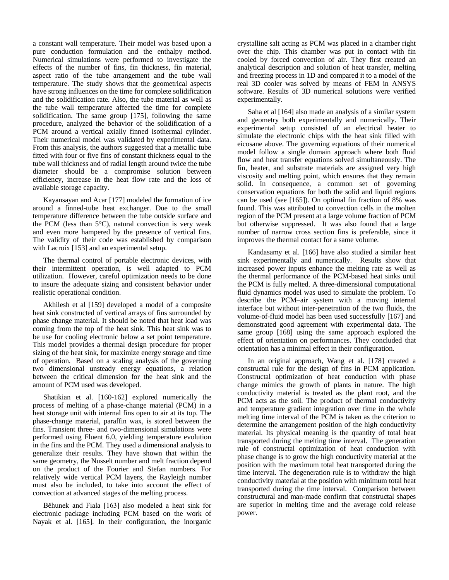a constant wall temperature. Their model was based upon a pure conduction formulation and the enthalpy method. Numerical simulations were performed to investigate the effects of the number of fins, fin thickness, fin material, aspect ratio of the tube arrangement and the tube wall temperature. The study shows that the geometrical aspects have strong influences on the time for complete solidification and the solidification rate. Also, the tube material as well as the tube wall temperature affected the time for complete solidification. The same group [175], following the same procedure, analyzed the behavior of the solidification of a PCM around a vertical axially finned isothermal cylinder. Their numerical model was validated by experimental data. From this analysis, the authors suggested that a metallic tube fitted with four or five fins of constant thickness equal to the tube wall thickness and of radial length around twice the tube diameter should be a compromise solution between efficiency, increase in the heat flow rate and the loss of available storage capacity.

Kayansayan and Acar [177] modeled the formation of ice around a finned-tube heat exchanger. Due to the small temperature difference between the tube outside surface and the PCM (less than  $5^{\circ}$ C), natural convection is very weak and even more hampered by the presence of vertical fins. The validity of their code was established by comparison with Lacroix [153] and an experimental setup.

The thermal control of portable electronic devices, with their intermittent operation, is well adapted to PCM utilization. However, careful optimization needs to be done to insure the adequate sizing and consistent behavior under realistic operational condition.

Akhilesh et al [159] developed a model of a composite heat sink constructed of vertical arrays of fins surrounded by phase change material. It should be noted that heat load was coming from the top of the heat sink. This heat sink was to be use for cooling electronic below a set point temperature. This model provides a thermal design procedure for proper sizing of the heat sink, for maximize energy storage and time of operation. Based on a scaling analysis of the governing two dimensional unsteady energy equations, a relation between the critical dimension for the heat sink and the amount of PCM used was developed.

Shatikian et al. [160-162] explored numerically the process of melting of a phase-change material (PCM) in a heat storage unit with internal fins open to air at its top. The phase-change material, paraffin wax, is stored between the fins. Transient three- and two-dimensional simulations were performed using Fluent 6.0, yielding temperature evolution in the fins and the PCM. They used a dimensional analysis to generalize their results. They have shown that within the same geometry, the Nusselt number and melt fraction depend on the product of the Fourier and Stefan numbers. For relatively wide vertical PCM layers, the Rayleigh number must also be included, to take into account the effect of convection at advanced stages of the melting process.

Běhunek and Fiala [163] also modeled a heat sink for electronic package including PCM based on the work of Nayak et al. [165]. In their configuration, the inorganic crystalline salt acting as PCM was placed in a chamber right over the chip. This chamber was put in contact with fin cooled by forced convection of air. They first created an analytical description and solution of heat transfer, melting and freezing process in 1D and compared it to a model of the real 3D cooler was solved by means of FEM in ANSYS software. Results of 3D numerical solutions were verified experimentally.

Saha et al [164] also made an analysis of a similar system and geometry both experimentally and numerically. Their experimental setup consisted of an electrical heater to simulate the electronic chips with the heat sink filled with eicosane above. The governing equations of their numerical model follow a single domain approach where both fluid flow and heat transfer equations solved simultaneously. The fin, heater, and substrate materials are assigned very high viscosity and melting point, which ensures that they remain solid. In consequence, a common set of governing conservation equations for both the solid and liquid regions can be used (see [165]). On optimal fin fraction of 8% was found. This was attributed to convection cells in the molten region of the PCM present at a large volume fraction of PCM but otherwise suppressed. It was also found that a large number of narrow cross section fins is preferable, since it improves the thermal contact for a same volume.

Kandasamy et al. [166] have also studied a similar heat sink experimentally and numerically. Results show that increased power inputs enhance the melting rate as well as the thermal performance of the PCM-based heat sinks until the PCM is fully melted. A three-dimensional computational fluid dynamics model was used to simulate the problem. To describe the PCM–air system with a moving internal interface but without inter-penetration of the two fluids, the volume-of-fluid model has been used successfully [167] and demonstrated good agreement with experimental data. The same group [168] using the same approach explored the effect of orientation on performances. They concluded that orientation has a minimal effect in their configuration.

In an original approach, Wang et al. [178] created a constructal rule for the design of fins in PCM application. Constructal optimization of heat conduction with phase change mimics the growth of plants in nature. The high conductivity material is treated as the plant root, and the PCM acts as the soil. The product of thermal conductivity and temperature gradient integration over time in the whole melting time interval of the PCM is taken as the criterion to determine the arrangement position of the high conductivity material. Its physical meaning is the quantity of total heat transported during the melting time interval. The generation rule of constructal optimization of heat conduction with phase change is to grow the high conductivity material at the position with the maximum total heat transported during the time interval. The degeneration rule is to withdraw the high conductivity material at the position with minimum total heat transported during the time interval. Comparison between constructural and man-made confirm that constructal shapes are superior in melting time and the average cold release power.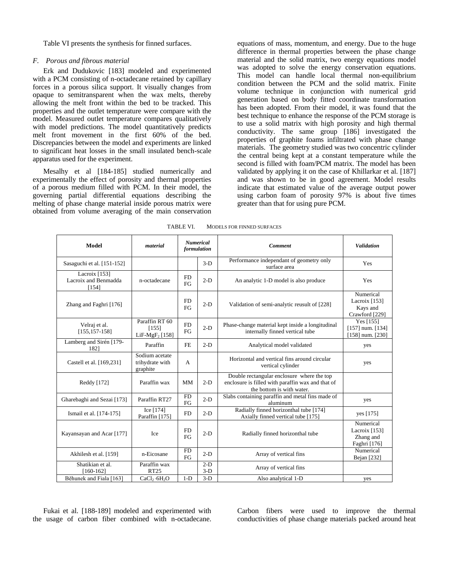Table VI presents the synthesis for finned surfaces.

## *F. Porous and fibrous material*

Erk and Dudukovic [183] modeled and experimented with a PCM consisting of n-octadecane retained by capillary forces in a porous silica support. It visually changes from opaque to semitransparent when the wax melts, thereby allowing the melt front within the bed to be tracked. This properties and the outlet temperature were compare with the model. Measured outlet temperature compares qualitatively with model predictions. The model quantitatively predicts melt front movement in the first 60% of the bed. Discrepancies between the model and experiments are linked to significant heat losses in the small insulated bench-scale apparatus used for the experiment.

Mesalhy et al [184-185] studied numerically and experimentally the effect of porosity and thermal properties of a porous medium filled with PCM. In their model, the governing partial differential equations describing the melting of phase change material inside porous matrix were obtained from volume averaging of the main conservation

equations of mass, momentum, and energy. Due to the huge difference in thermal properties between the phase change material and the solid matrix, two energy equations model was adopted to solve the energy conservation equations. This model can handle local thermal non-equilibrium condition between the PCM and the solid matrix. Finite volume technique in conjunction with numerical grid generation based on body fitted coordinate transformation has been adopted. From their model, it was found that the best technique to enhance the response of the PCM storage is to use a solid matrix with high porosity and high thermal conductivity. The same group [186] investigated the properties of graphite foams infiltrated with phase change materials. The geometry studied was two concentric cylinder the central being kept at a constant temperature while the second is filled with foam/PCM matrix. The model has been validated by applying it on the case of Khillarkar et al. [187] and was shown to be in good agreement. Model results indicate that estimated value of the average output power using carbon foam of porosity 97% is about five times greater than that for using pure PCM.

| <b>Model</b>                                   | material                                              | <b>Numerical</b><br>formulation |                | <b>Comment</b>                                                                                                               | <b>Validation</b>                                         |
|------------------------------------------------|-------------------------------------------------------|---------------------------------|----------------|------------------------------------------------------------------------------------------------------------------------------|-----------------------------------------------------------|
| Sasaguchi et al. [151-152]                     |                                                       |                                 | $3-D$          | Performance independant of geometry only<br>surface area                                                                     | Yes                                                       |
| Lacroix [153]<br>Lacroix and Benmadda<br>[154] | n-octadecane                                          | <b>FD</b><br>FG                 | $2-D$          | An analytic 1-D model is also produce                                                                                        | Yes                                                       |
| Zhang and Faghri [176]                         |                                                       | <b>FD</b><br>FG                 | $2-D$          | Validation of semi-analytic reusult of [228]                                                                                 | Numerical<br>Lacroix [153]<br>Kays and<br>Crawford [229]  |
| Velraj et al.<br>$[155, 157 - 158]$            | Paraffin RT 60<br>[155]<br>LiF-MgF <sub>2</sub> [158] | <b>FD</b><br>FG                 | $2-D$          | Phase-change material kept inside a longitudinal<br>internally finned vertical tube                                          | Yes [155]<br>$[157]$ num. $[134]$<br>$[158]$ num. $[230]$ |
| Lamberg and Sirén [179-<br>1821                | Paraffin                                              | <b>FE</b>                       | $2-D$          | Analytical model validated                                                                                                   | yes                                                       |
| Castell et al. [169,231]                       | Sodium acetate<br>trihydrate with<br>graphite         | A                               |                | Horizontal and vertical fins around circular<br>vertical cylinder                                                            | yes                                                       |
| Reddy [172]                                    | Paraffin wax                                          | MM                              | $2-D$          | Double rectangular enclosure where the top<br>enclosure is filled with paraffin wax and that of<br>the bottom is with water. |                                                           |
| Gharebaghi and Sezai [173]                     | Paraffin RT27                                         | <b>FD</b><br>FG                 | $2-D$          | Slabs containing paraffin and metal fins made of<br>aluminum                                                                 | yes                                                       |
| Ismail et al. [174-175]                        | Ice [174]<br>Paraffin [175]                           | <b>FD</b>                       | $2-D$          | Radially finned horizonthal tube [174]<br>Axially finned vertical tube [175]                                                 | yes [175]                                                 |
| Kayansayan and Acar [177]                      | Ice                                                   | <b>FD</b><br>FG                 | $2-D$          | Radially finned horizonthal tube                                                                                             | Numerical<br>Lacroix [153]<br>Zhang and<br>Faghri [176]   |
| Akhilesh et al. [159]                          | n-Eicosane                                            | <b>FD</b><br>FG                 | $2-D$          | Array of vertical fins                                                                                                       | Numerical<br>Bejan [232]                                  |
| Shatikian et al.<br>$[160-162]$                | Paraffin wax<br><b>RT25</b>                           |                                 | $2-D$<br>$3-D$ | Array of vertical fins                                                                                                       |                                                           |
| Běhunek and Fiala [163]                        | CaCl <sub>2</sub> ·6H <sub>2</sub> O                  | $1-D$                           | $3-D$          | Also analytical 1-D                                                                                                          | yes                                                       |

TABLE VI. MODELS FOR FINNED SURFACES

Fukai et al. [188-189] modeled and experimented with the usage of carbon fiber combined with n-octadecane.

Carbon fibers were used to improve the thermal conductivities of phase change materials packed around heat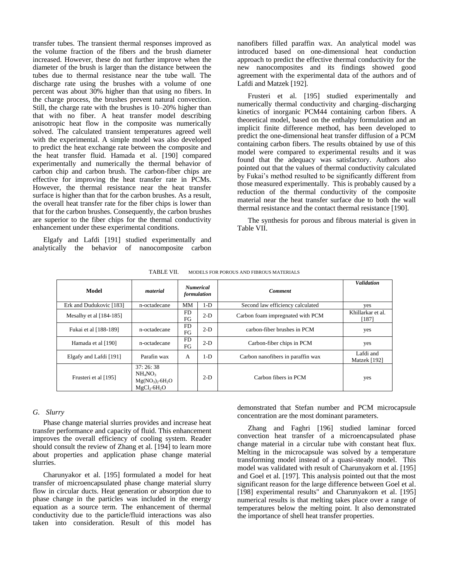transfer tubes. The transient thermal responses improved as the volume fraction of the fibers and the brush diameter increased. However, these do not further improve when the diameter of the brush is larger than the distance between the tubes due to thermal resistance near the tube wall. The discharge rate using the brushes with a volume of one percent was about 30% higher than that using no fibers. In the charge process, the brushes prevent natural convection. Still, the charge rate with the brushes is 10–20% higher than that with no fiber. A heat transfer model describing anisotropic heat flow in the composite was numerically solved. The calculated transient temperatures agreed well with the experimental. A simple model was also developed to predict the heat exchange rate between the composite and the heat transfer fluid. Hamada et al. [190] compared experimentally and numerically the thermal behavior of carbon chip and carbon brush. The carbon-fiber chips are effective for improving the heat transfer rate in PCMs. However, the thermal resistance near the heat transfer surface is higher than that for the carbon brushes. As a result, the overall heat transfer rate for the fiber chips is lower than that for the carbon brushes. Consequently, the carbon brushes are superior to the fiber chips for the thermal conductivity enhancement under these experimental conditions.

Elgafy and Lafdi [191] studied experimentally and analytically the behavior of nanocomposite carbon

nanofibers filled paraffin wax. An analytical model was introduced based on one-dimensional heat conduction approach to predict the effective thermal conductivity for the new nanocomposites and its findings showed good agreement with the experimental data of the authors and of Lafdi and Matzek [192].

Frusteri et al. [195] studied experimentally and numerically thermal conductivity and charging–discharging kinetics of inorganic PCM44 containing carbon fibers. A theoretical model, based on the enthalpy formulation and an implicit finite difference method, has been developed to predict the one-dimensional heat transfer diffusion of a PCM containing carbon fibers. The results obtained by use of this model were compared to experimental results and it was found that the adequacy was satisfactory. Authors also pointed out that the values of thermal conductivity calculated by Fukai's method resulted to be significantly different from those measured experimentally. This is probably caused by a reduction of the thermal conductivity of the composite material near the heat transfer surface due to both the wall thermal resistance and the contact thermal resistance [190].

The synthesis for porous and fibrous material is given in Table VII.

| Model                     | material                                                                             | <b>Numerical</b><br>formulation |       | <b>Comment</b>                    | <b>Validation</b>          |
|---------------------------|--------------------------------------------------------------------------------------|---------------------------------|-------|-----------------------------------|----------------------------|
| Erk and Dudukovic [183]   | n-octadecane                                                                         | MM                              | $1-D$ | Second law efficiency calculated  | yes                        |
| Mesalhy et al $[184-185]$ |                                                                                      | <b>FD</b><br>FG                 | $2-D$ | Carbon foam impregnated with PCM  | Khillarkar et al.<br>[187] |
| Fukai et al [188-189]     | n-octadecane                                                                         | <b>FD</b><br>FG                 | $2-D$ | carbon-fiber brushes in PCM       | yes                        |
| Hamada et al [190]        | n-octadecane                                                                         | <b>FD</b><br>FG                 | $2-D$ | Carbon-fiber chips in PCM         | yes                        |
| Elgafy and Lafdi [191]    | Parafin wax                                                                          | A                               | $1-D$ | Carbon nanofibers in paraffin wax | Lafdi and<br>Matzek [192]  |
| Frusteri et al [195]      | 37:26:38<br>NH <sub>4</sub> NO <sub>3</sub><br>$Mg(NO3)2·6H2O$<br>$MgCl_{2}·6H_{2}O$ |                                 | $2-D$ | Carbon fibers in PCM              | yes                        |

TABLE VII. MODELS FOR POROUS AND FIBROUS MATERIALS

# *G. Slurry*

Phase change material slurries provides and increase heat transfer performance and capacity of fluid. This enhancement improves the overall efficiency of cooling system. Reader should consult the review of Zhang et al. [194] to learn more about properties and application phase change material slurries.

Charunyakor et al. [195] formulated a model for heat transfer of microencapsulated phase change material slurry flow in circular ducts. Heat generation or absorption due to phase change in the particles was included in the energy equation as a source term. The enhancement of thermal conductivity due to the particle/fluid interactions was also taken into consideration. Result of this model has

demonstrated that Stefan number and PCM microcapsule concentration are the most dominant parameters.

Zhang and Faghri [196] studied laminar forced convection heat transfer of a microencapsulated phase change material in a circular tube with constant heat flux. Melting in the microcapsule was solved by a temperature transforming model instead of a quasi-steady model. This model was validated with result of Charunyakorn et al. [195] and Goel et al. [197]. This analysis pointed out that the most significant reason for the large difference between Goel et al. [198] experimental results" and Charunyakorn et al. [195] numerical results is that melting takes place over a range of temperatures below the melting point. It also demonstrated the importance of shell heat transfer properties.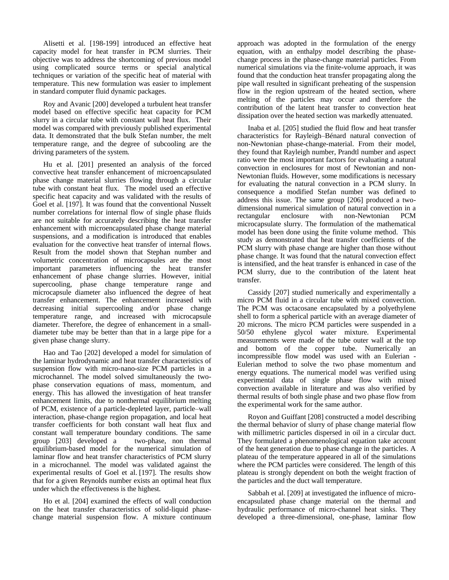Alisetti et al. [198-199] introduced an effective heat capacity model for heat transfer in PCM slurries. Their objective was to address the shortcoming of previous model using complicated source terms or special analytical techniques or variation of the specific heat of material with temperature. This new formulation was easier to implement in standard computer fluid dynamic packages.

Roy and Avanic [200] developed a turbulent heat transfer model based on effective specific heat capacity for PCM slurry in a circular tube with constant wall heat flux. Their model was compared with previously published experimental data. It demonstrated that the bulk Stefan number, the melt temperature range, and the degree of subcooling are the driving parameters of the system.

Hu et al. [201] presented an analysis of the forced convective heat transfer enhancement of microencapsulated phase change material slurries flowing through a circular tube with constant heat flux. The model used an effective specific heat capacity and was validated with the results of Goel et al. [197]. It was found that the conventional Nusselt number correlations for internal flow of single phase fluids are not suitable for accurately describing the heat transfer enhancement with microencapsulated phase change material suspensions, and a modification is introduced that enables evaluation for the convective heat transfer of internal flows. Result from the model shown that Stephan number and volumetric concentration of microcapsules are the most important parameters influencing the heat transfer enhancement of phase change slurries. However, initial supercooling, phase change temperature range and microcapsule diameter also influenced the degree of heat transfer enhancement. The enhancement increased with decreasing initial supercooling and/or phase change temperature range, and increased with microcapsule diameter. Therefore, the degree of enhancement in a smalldiameter tube may be better than that in a large pipe for a given phase change slurry.

Hao and Tao [202] developed a model for simulation of the laminar hydrodynamic and heat transfer characteristics of suspension flow with micro-nano-size PCM particles in a microchannel. The model solved simultaneously the twophase conservation equations of mass, momentum, and energy. This has allowed the investigation of heat transfer enhancement limits, due to nonthermal equilibrium melting of PCM, existence of a particle-depleted layer, particle–wall interaction, phase-change region propagation, and local heat transfer coefficients for both constant wall heat flux and constant wall temperature boundary conditions. The same group [203] developed a two-phase, non thermal equilibrium-based model for the numerical simulation of laminar flow and heat transfer characteristics of PCM slurry in a microchannel. The model was validated against the experimental results of Goel et al. [197]. The results show that for a given Reynolds number exists an optimal heat flux under which the effectiveness is the highest.

Ho et al. [204] examined the effects of wall conduction on the heat transfer characteristics of solid-liquid phasechange material suspension flow. A mixture continuum

approach was adopted in the formulation of the energy equation, with an enthalpy model describing the phasechange process in the phase-change material particles. From numerical simulations via the finite-volume approach, it was found that the conduction heat transfer propagating along the pipe wall resulted in significant preheating of the suspension flow in the region upstream of the heated section, where melting of the particles may occur and therefore the contribution of the latent heat transfer to convection heat dissipation over the heated section was markedly attenuated.

Inaba et al. [205] studied the fluid flow and heat transfer characteristics for Rayleigh–Bénard natural convection of non-Newtonian phase-change-material. From their model, they found that Rayleigh number, Prandtl number and aspect ratio were the most important factors for evaluating a natural convection in enclosures for most of Newtonian and non-Newtonian fluids. However, some modifications is necessary for evaluating the natural convection in a PCM slurry. In consequence a modified Stefan number was defined to address this issue. The same group [206] produced a twodimensional numerical simulation of natural convection in a rectangular enclosure with non-Newtonian PCM microcapsulate slurry. The formulation of the mathematical model has been done using the finite volume method. This study as demonstrated that heat transfer coefficients of the PCM slurry with phase change are higher than those without phase change. It was found that the natural convection effect is intensified, and the heat transfer is enhanced in case of the PCM slurry, due to the contribution of the latent heat transfer.

Cassidy [207] studied numerically and experimentally a micro PCM fluid in a circular tube with mixed convection. The PCM was octacosane encapsulated by a polyethylene shell to form a spherical particle with an average diameter of 20 microns. The micro PCM particles were suspended in a 50/50 ethylene glycol water mixture. Experimental measurements were made of the tube outer wall at the top and bottom of the copper tube. Numerically an incompressible flow model was used with an Eulerian - Eulerian method to solve the two phase momentum and energy equations. The numerical model was verified using experimental data of single phase flow with mixed convection available in literature and was also verified by thermal results of both single phase and two phase flow from the experimental work for the same author.

Royon and Guiffant [208] constructed a model describing the thermal behavior of slurry of phase change material flow with millimetric particles dispersed in oil in a circular duct. They formulated a phenomenological equation take account of the heat generation due to phase change in the particles. A plateau of the temperature appeared in all of the simulations where the PCM particles were considered. The length of this plateau is strongly dependent on both the weight fraction of the particles and the duct wall temperature.

Sabbah et al. [209] at investigated the influence of microencapsulated phase change material on the thermal and hydraulic performance of micro-channel heat sinks. They developed a three-dimensional, one-phase, laminar flow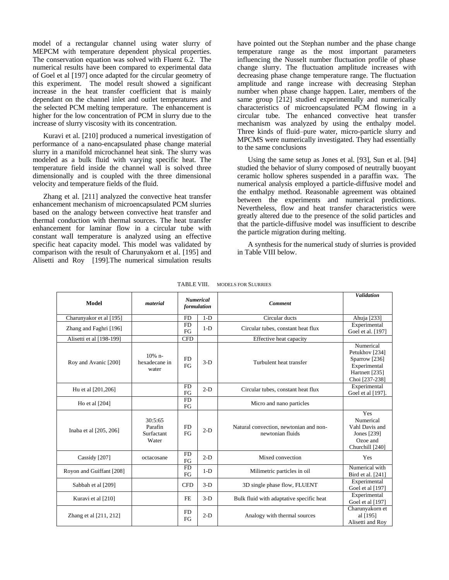model of a rectangular channel using water slurry of MEPCM with temperature dependent physical properties. The conservation equation was solved with Fluent 6.2. The numerical results have been compared to experimental data of Goel et al [197] once adapted for the circular geometry of this experiment. The model result showed a significant increase in the heat transfer coefficient that is mainly dependant on the channel inlet and outlet temperatures and the selected PCM melting temperature. The enhancement is higher for the low concentration of PCM in slurry due to the increase of slurry viscosity with its concentration.

Kuravi et al. [210] produced a numerical investigation of performance of a nano-encapsulated phase change material slurry in a manifold microchannel heat sink. The slurry was modeled as a bulk fluid with varying specific heat. The temperature field inside the channel wall is solved three dimensionally and is coupled with the three dimensional velocity and temperature fields of the fluid.

Zhang et al. [211] analyzed the convective heat transfer enhancement mechanism of microencapsulated PCM slurries based on the analogy between convective heat transfer and thermal conduction with thermal sources. The heat transfer enhancement for laminar flow in a circular tube with constant wall temperature is analyzed using an effective specific heat capacity model. This model was validated by comparison with the result of Charunyakorn et al. [195] and Alisetti and Roy [199].The numerical simulation results

have pointed out the Stephan number and the phase change temperature range as the most important parameters influencing the Nusselt number fluctuation profile of phase change slurry. The fluctuation amplitude increases with decreasing phase change temperature range. The fluctuation amplitude and range increase with decreasing Stephan number when phase change happen. Later, members of the same group [212] studied experimentally and numerically characteristics of microencapsulated PCM flowing in a circular tube. The enhanced convective heat transfer mechanism was analyzed by using the enthalpy model. Three kinds of fluid–pure water, micro-particle slurry and MPCMS were numerically investigated. They had essentially to the same conclusions

Using the same setup as Jones et al. [93], Sun et al. [94] studied the behavior of slurry composed of neutrally buoyant ceramic hollow spheres suspended in a paraffin wax. The numerical analysis employed a particle-diffusive model and the enthalpy method. Reasonable agreement was obtained between the experiments and numerical predictions. Nevertheless, flow and heat transfer characteristics were greatly altered due to the presence of the solid particles and that the particle-diffusive model was insufficient to describe the particle migration during melting.

A synthesis for the numerical study of slurries is provided in Table VIII below.

| <b>Model</b>             | material                                  | formulation     | <b>Numerical</b> | <b>Comment</b>                                             | <b>Validation</b>                                                                                |
|--------------------------|-------------------------------------------|-----------------|------------------|------------------------------------------------------------|--------------------------------------------------------------------------------------------------|
| Charunyakor et al [195]  |                                           | <b>FD</b>       | $1-D$            | Circular ducts                                             | Ahuja [233]                                                                                      |
| Zhang and Faghri [196]   |                                           | <b>FD</b><br>FG | $1-D$            | Circular tubes, constant heat flux                         | Experimental<br>Goel et al. [197]                                                                |
| Alisetti et al [198-199] |                                           | <b>CFD</b>      |                  | Effective heat capacity                                    |                                                                                                  |
| Roy and Avanic [200]     | $10%$ n-<br>hexadecane in<br>water        | <b>FD</b><br>FG | $3-D$            | Turbulent heat transfer                                    | Numerical<br>Petukhov [234]<br>Sparrow [236]<br>Experimental<br>Hartnett [235]<br>Choi [237-238] |
| Hu et al [201,206]       |                                           | <b>FD</b><br>FG | $2-D$            | Circular tubes, constant heat flux                         | Experimental<br>Goel et al [197].                                                                |
| Ho et al $[204]$         |                                           | <b>FD</b><br>FG |                  | Micro and nano particles                                   |                                                                                                  |
| Inaba et al [205, 206]   | 30:5:65<br>Parafin<br>Surfactant<br>Water | FD<br>FG        | $2-D$            | Natural convection, newtonian and non-<br>newtonian fluids | Yes<br>Numerical<br>Vahl Davis and<br>Jones [239]<br>Ozoe and<br>Churchill [240]                 |
| Cassidy [207]            | octacosane                                | <b>FD</b><br>FG | $2-D$            | Mixed convection                                           | Yes                                                                                              |
| Royon and Guiffant [208] |                                           | <b>FD</b><br>FG | $1-D$            | Milimetric particles in oil                                | Numerical with<br>Bird et al. [241]                                                              |
| Sabbah et al [209]       |                                           | <b>CFD</b>      | $3-D$            | 3D single phase flow, FLUENT                               | Experimental<br>Goel et al [197]                                                                 |
| Kuravi et al [210]       |                                           | <b>FE</b>       | $3-D$            | Bulk fluid with adaptative specific heat                   | Experimental<br>Goel et al [197]                                                                 |
| Zhang et al [211, 212]   |                                           | <b>FD</b><br>FG | $2-D$            | Analogy with thermal sources                               | Charunyakorn et<br>al [195]<br>Alisetti and Roy                                                  |

TABLE VIII. MODELS FOR SLURRIES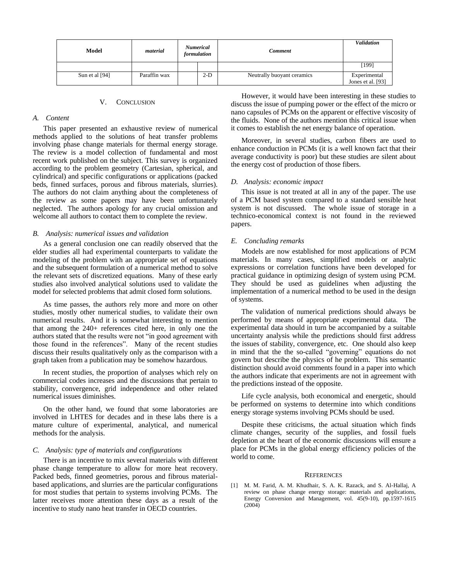| Model          | material     | <b>Numerical</b><br>formulation | <b>Comment</b>             | <b>Validation</b>                 |
|----------------|--------------|---------------------------------|----------------------------|-----------------------------------|
|                |              |                                 |                            | [199]                             |
| Sun et al [94] | Paraffin wax | $2-D$                           | Neutrally buoyant ceramics | Experimental<br>Jones et al. [93] |

## V. CONCLUSION

# *A. Content*

This paper presented an exhaustive review of numerical methods applied to the solutions of heat transfer problems involving phase change materials for thermal energy storage. The review is a model collection of fundamental and most recent work published on the subject. This survey is organized according to the problem geometry (Cartesian, spherical, and cylindrical) and specific configurations or applications (packed beds, finned surfaces, porous and fibrous materials, slurries). The authors do not claim anything about the completeness of the review as some papers may have been unfortunately neglected. The authors apology for any crucial omission and welcome all authors to contact them to complete the review.

# *B. Analysis: numerical issues and validation*

As a general conclusion one can readily observed that the elder studies all had experimental counterparts to validate the modeling of the problem with an appropriate set of equations and the subsequent formulation of a numerical method to solve the relevant sets of discretized equations. Many of these early studies also involved analytical solutions used to validate the model for selected problems that admit closed form solutions.

As time passes, the authors rely more and more on other studies, mostly other numerical studies, to validate their own numerical results. And it is somewhat interesting to mention that among the 240+ references cited here, in only one the authors stated that the results were not "in good agreement with those found in the references". Many of the recent studies discuss their results qualitatively only as the comparison with a graph taken from a publication may be somehow hazardous.

In recent studies, the proportion of analyses which rely on commercial codes increases and the discussions that pertain to stability, convergence, grid independence and other related numerical issues diminishes.

On the other hand, we found that some laboratories are involved in LHTES for decades and in these labs there is a mature culture of experimental, analytical, and numerical methods for the analysis.

## *C. Analysis: type of materials and configurations*

There is an incentive to mix several materials with different phase change temperature to allow for more heat recovery. Packed beds, finned geometries, porous and fibrous materialbased applications, and slurries are the particular configurations for most studies that pertain to systems involving PCMs. The latter receives more attention these days as a result of the incentive to study nano heat transfer in OECD countries.

However, it would have been interesting in these studies to discuss the issue of pumping power or the effect of the micro or nano capsules of PCMs on the apparent or effective viscosity of the fluids. None of the authors mention this critical issue when it comes to establish the net energy balance of operation.

Moreover, in several studies, carbon fibers are used to enhance conduction in PCMs (it is a well known fact that their average conductivity is poor) but these studies are silent about the energy cost of production of those fibers.

# *D. Analysis: economic impact*

This issue is not treated at all in any of the paper. The use of a PCM based system compared to a standard sensible heat system is not discussed. The whole issue of storage in a technico-economical context is not found in the reviewed papers.

# *E. Concluding remarks*

Models are now established for most applications of PCM materials. In many cases, simplified models or analytic expressions or correlation functions have been developed for practical guidance in optimizing design of system using PCM. They should be used as guidelines when adjusting the implementation of a numerical method to be used in the design of systems.

The validation of numerical predictions should always be performed by means of appropriate experimental data. The experimental data should in turn be accompanied by a suitable uncertainty analysis while the predictions should first address the issues of stability, convergence, etc. One should also keep in mind that the the so-called "governing" equations do not govern but describe the physics of he problem. This semantic distinction should avoid comments found in a paper into which the authors indicate that experiments are not in agreement with the predictions instead of the opposite.

Life cycle analysis, both economical and energetic, should be performed on systems to determine into which conditions energy storage systems involving PCMs should be used.

Despite these criticisms, the actual situation which finds climate changes, security of the supplies, and fossil fuels depletion at the heart of the economic discussions will ensure a place for PCMs in the global energy efficiency policies of the world to come.

#### **REFERENCES**

[1] M. M. Farid, A. M. Khudhair, S. A. K. Razack, and S. Al-Hallaj, A. review on phase change energy storage: materials and applications, Energy Conversion and Management, vol. 45(9-10), pp.1597-1615 (2004)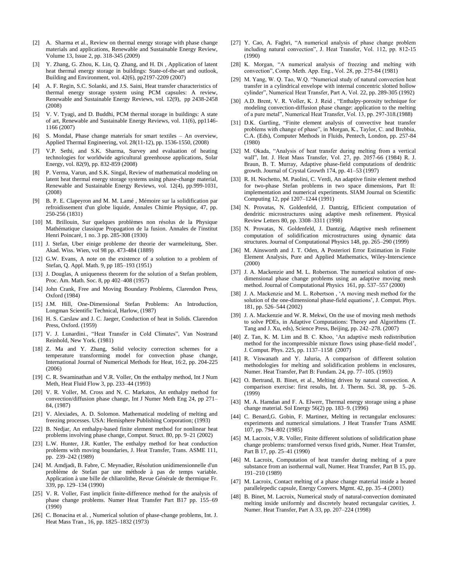- [2] A. Sharma et al., Review on thermal energy storage with phase change materials and applications, Renewable and Sustainable Energy Review, Volume 13, Issue 2, pp. 318-345 (2009)
- [3] Y. Zhang, G. Zhou, K. Lin, Q. Zhang, and H. Di , Application of latent heat thermal energy storage in buildings: State-of-the-art and outlook, Building and Environment, vol. 42(6), pp2197-2209 (2007)
- [4] A. F. Regin, S.C. Solanki, and J.S. Saini, Heat transfer characteristics of thermal energy storage system using PCM capsules: A review, Renewable and Sustainable Energy Reviews, vol. 12(9), pp 2438-2458 (2008)
- [5] V. V. Tyagi, and D. Buddhi, PCM thermal storage in buildings: A state of art, Renewable and Sustainable Energy Reviews, vol. 11(6), pp1146- 1166 (2007)
- [6] S. Mondal, Phase change materials for smart textiles An overview, Applied Thermal Engineering, vol. 28(11-12), pp. 1536-1550, (2008)
- [7] V.P. Sethi, and S.K. Sharma, Survey and evaluation of heating technologies for worldwide agricultural greenhouse applications, Solar Energy, vol. 82(9), pp. 832-859 (2008)
- [8] P. Verma, Varun, and S.K. Singal, Review of mathematical modeling on latent heat thermal energy storage systems using phase-change material, Renewable and Sustainable Energy Reviews, vol. 12(4), pp.999-1031, (2008)
- [9] B. P. E. Clapeyron and M. M. Lamé , Mémoire sur la solidification par refroidissement d'un globe liquide, Annales Chimie Physique, 47, pp. 250-256 (1831)
- [10] M. Brillouin, Sur quelques problèmes non résolus de la Physique Mathématique classique Propagation de la fusion. Annales de l'institut Henri Poincaré, 1 no. 3 pp. 285-308 (1930)
- [11] J. Stefan, Uber einige probleme der theorie der warmeleitung, Sber. Akad. Wiss. Wien, vol 98 pp. 473-484 (1889)
- [12] G.W. Evans, A note on the existence of a solution to a problem of Stefan, Q. Appl. Math. 9, pp 185–193 (1951)
- [13] J. Douglas, A uniqueness theorem for the solution of a Stefan problem, Proc. Am. Math. Soc. 8, pp 402–408 (1957)
- [14] John Crank, Free and Moving Boundary Problems, Clarendon Press, Oxford (1984)
- [15] J.M. Hill, One-Dimensional Stefan Problems: An Introduction, Longman Scientific Technical, Harlow, (1987)
- [16] H. S. Carslaw and J. C. Jaeger, Conduction of heat in Solids. Clarendon Press, Oxford. (1959)
- [17] V. J. Lunardini., "Heat Transfer in Cold Climates", Van Nostrand Reinhold, New York. (1981)
- [18] Z. Ma and Y. Zhang, Solid velocity correction schemes for a temperature transforming model for convection phase change, International Journal of Numerical Methods for Heat, 16:2, pp. 204-225 (2006)
- [19] C. R. Swaminathan and V.R. Voller, On the enthalpy method, Int J Num Meth, Heat Fluid Flow 3, pp. 233–44 (1993)
- [20] V. R. Voller, M. Cross and N. C. Markatos, An enthalpy method for convection/diffusion phase change, Int J Numer Meth Eng 24, pp 271– 84, (1987)
- [21] V. Alexiades, A. D. Solomon. Mathematical modeling of melting and freezing processes. USA: Hemisphere Publishing Corporation; (1993)
- [22] B. Nedjar, An enthalpy-based finite element method for nonlinear heat problems involving phase change, Comput. Struct. 80, pp. 9–21 (2002)
- [23] L.W. Hunter, J.R. Kuttler, The enthalpy method for heat conduction problems with moving boundaries, J. Heat Transfer, Trans. ASME 111, pp. 239–242 (1989)
- [24] M. Amdjadi, B. Fabre, C. Meynadier, Résolution unidimensionnelle d'un problème de Stefan par une méthode à pas de temps variable. Application à une bille de chliarolithe, Revue Générale de thermique Fr. 339, pp. 129–134 (1990)
- [25] V. R. Voller, Fast implicit finite-difference method for the analysis of phase change problems. Numer Heat Transfer Part B17 pp. 155–69 (1990)
- [26] C. Bonacina et al. , Numerical solution of phase-change problems, Int. J. Heat Mass Tran., 16, pp. 1825–1832 (1973)
- [27] Y. Cao, A. Faghri, "A numerical analysis of phase change problem including natural convection", J. Heat Transfer, Vol. 112, pp. 812-15 (1990)
- [28] K. Morgan, "A numerical analysis of freezing and melting with convection‖, Comp. Meth. App. Eng., Vol. 28, pp. 275-84 (1981)
- [29] M. Yang, W. Q. Tao, W.Q. "Numerical study of natural convection heat transfer in a cylindrical envelope with internal concentric slotted hollow cylinder", Numerical Heat Transfer, Part A, Vol. 22, pp. 289-305 (1992)
- [30] A.D. Brent, V. R. Voller, K. J. Reid, "Enthalpy-porosity technique for modeling convection-diffusion phase change: application to the melting of a pure metal‖, Numerical Heat Transfer, Vol. 13, pp. 297-318.(1988)
- [31] D.K. Gartling, "Finite element analysis of convective heat transfer problems with change of phase", in Morgan, K., Taylor, C. and Brebbia, C.A. (Eds), Computer Methods in Fluids, Pentech, London, pp. 257-84 (1980)
- [32] M. Okada, "Analysis of heat transfer during melting from a vertical wall‖, Int. J. Heat Mass Transfer, Vol. 27, pp. 2057-66 (1984) R. J. Braun, B. T. Murray, Adaptive phase-field computations of dendritic growth. Journal of Crystal Growth 174, pp. 41–53 (1997)
- [33] R. H. Nochetto, M. Paolini, C. Verdi, An adaptive finite element method for two-phase Stefan problems in two space dimensions, Part II: implementation and numerical experiments. SIAM Journal on Scientific Computing 12, ppé 1207–1244 (1991)
- [34] N. Provatas, N. Goldenfeld, J. Dantzig, Efficient computation of dendritic microstructures using adaptive mesh refinement. Physical Review Letters 80, pp. 3308–3311 (1998)
- [35] N. Provatas, N. Goldenfeld, J. Dantzig, Adaptive mesh refinement computation of solidification microstructures using dynamic data structures. Journal of Computational Physics 148, pp. 265–290 (1999)
- [36] M. Ainsworth and J. T. Oden, A Posteriori Error Estimation in Finite Element Analysis, Pure and Applied Mathematics, Wiley-Interscience (2000)
- [37] J. A. Mackenzie and M. L. Robertson. The numerical solution of onedimensional phase change problems using an adaptive moving mesh method. Journal of Computational Physics 161, pp. 537–557 (2000)
- [38] J. A. Mackenzie and M. L. Robertson, 'A moving mesh method for the solution of the one-dimensional phase-field equations', J. Comput. Phys. 181, pp. 526–544 (2002)
- [39] J. A. Mackenzie and W. R. Mekwi, On the use of moving mesh methods to solve PDEs, in Adaptive Computations: Theory and Algorithms (T. Tang and J. Xu, eds), Science Press, Beijing, pp. 242–278. (2007)
- [40] Z. Tan, K. M. Lim and B. C. Khoo, 'An adaptive mesh redistribution method for the incompressible mixture flows using phase-field model', J. Comput. Phys. 225, pp. 1137–1158 (2007)
- [41] R. Viswanath and Y. Jaluria, A comparison of different solution methodologies for melting and solidification problems in enclosures, Numer. Heat Transfer, Part B: Fundam. 24, pp. 77–105. (1993)
- [42] O. Bertrand, B. Binet, et al., Melting driven by natural convection. A comparison exercise: first results, Int. J. Therm. Sci. 38, pp. 5–26. (1999)
- [43] M. A. Hamdan and F. A. Elwerr, Thermal energy storage using a phase change material. Sol Energy 56(2) pp. 183–9. (1996)
- [44] C. Benard, G. Gobin, F. Martinez, Melting in rectangular enclosures: experiments and numerical simulations. J Heat Transfer Trans ASME 107, pp. 794–802 (1985)
- [45] M. Lacroix, V.R. Voller, Finite different solutions of solidification phase change problems: transformed versus fixed grids, Numer. Heat Transfer, Part B 17, pp. 25–41 (1990)
- [46] M. Lacroix, Computation of heat transfer during melting of a pure substance from an isothermal wall, Numer. Heat Transfer, Part B 15, pp. 191–210 (1989)
- [47] M. Lacroix, Contact melting of a phase change material inside a heated parallelepedic capsule, Energy Convers. Mgmt. 42, pp. 35–4 (2001)
- [48] B. Binet, M. Lacroix, Numerical study of natural-convection dominated melting inside uniformly and discretely heated rectangular cavities, J. Numer. Heat Transfer, Part A 33, pp. 207–224 (1998)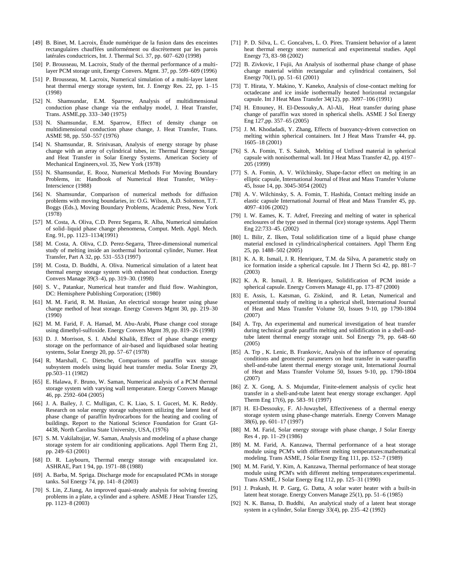- [49] B. Binet, M. Lacroix, Étude numérique de la fusion dans des enceintes rectangulaires chauffées uniformément ou discrètement par les parois latérales conductrices, Int. J. Thermal Sci. 37, pp. 607–620 (1998)
- [50] P. Brousseau, M. Lacroix, Study of the thermal performance of a multilayer PCM storage unit, Energy Convers. Mgmt. 37, pp. 599–609 (1996)
- [51] P. Brousseau, M. Lacroix, Numerical simulation of a multi-layer latent heat thermal energy storage system, Int. J. Energy Res. 22, pp. 1–15 (1998)
- [52] N. Shamsundar, E.M. Sparrow, Analysis of multidimensional conduction phase change via the enthalpy model, J. Heat Transfer, Trans. ASME,pp. 333–340 (1975)
- [53] N. Shamsundar, E.M. Sparrow, Effect of density change on multidimensional conduction phase change, J. Heat Transfer, Trans. ASME 98, pp. 550–557 (1976)
- [54] N. Shamsundar, R. Srinivasan, Analysis of energy storage by phase change with an array of cylindrical tubes, in: Thermal Energy Storage and Heat Transfer in Solar Energy Systems. American Society of Mechanical Engineers,vol. 35, New York (1978)
- [55] N. Shamsundar, E. Rooz, Numerical Methods For Moving Boundary Problems, in: Handbook of Numerical Heat Transfer, Wiley– Interscience (1988)
- [56] N. Shamsundar, Comparison of numerical methods for diffusion problems with moving boundaries, in: O.G. Wilson, A.D. Solomon, T.T. Boggs (Eds.), Moving Boundary Problems, Academic Press, New York (1978)
- [57] M. Costa, A. Oliva, C.D. Perez Segarra, R. Alba, Numerical simulation of solid–liquid phase change phenomena, Comput. Meth. Appl. Mech. Eng. 91, pp. 1123–1134(1991)
- [58] M. Costa, A. Oliva, C.D. Perez-Segarra, Three-dimensional numerical study of melting inside an isothermal horizontal cylinder, Numer. Heat Transfer, Part A 32, pp. 531–553 (1997)
- [59] M. Costa, D. Buddhi, A. Oliva. Numerical simulation of a latent heat thermal energy storage system with enhanced heat conduction. Energy Convers Manage 39(3–4), pp. 319–30. (1998)
- [60] S. V., Patankar, Numerical heat transfer and fluid flow. Washington, DC: Hemisphere Publishing Corporation; (1980)
- [61] M. M. Farid, R. M. Husian, An electrical storage heater using phase change method of heat storage. Energy Convers Mgmt 30, pp. 219–30 (1990)
- [62] M. M. Farid, F. A. Hamad, M. Abu-Arabi, Phase change cool storage using dimethyl-sulfoxide. Energy Convers Mgmt 39, pp. 819–26 (1998)
- [63] D. J. Morrison, S. I. Abdul Khalik, Effect of phase change energy storage on the performance of air-based and liquidbased solar heating systems, Solar Energy 20, pp. 57–67 (1978)
- [64] R. Marshall, C. Dietsche, Comparisons of paraffin wax storage subsystem models using liquid heat transfer media. Solar Energy 29, pp.503–11 (1982)
- [65] E. Halawa, F. Bruno, W. Saman, Numerical analysis of a PCM thermal storage system with varying wall temperature. Energy Convers Manage 46, pp. 2592–604 (2005)
- [66] J. A. Bailey, J. C. Mulligan, C. K. Liao, S. I. Guceri, M. K. Reddy. Research on solar energy storage subsystem utilizing the latent heat of phase change of paraffin hydrocarbons for the heating and cooling of buildings. Report to the National Science Foundation for Grant GI-4438, North Carolina State University, USA, (1976)
- [67] S. M. Vakilaltojjar, W. Saman, Analysis and modeling of a phase change storage system for air conditioning applications. Appl Therm Eng 21, pp. 249–63 (2001)
- [68] D. R. Laybourn, Thermal energy storage with encapsulated ice. ASHRAE, Part 1 94, pp. 1971–88 (1988)
- [69] A. Barba, M. Spriga. Discharge mode for encapsulated PCMs in storage tanks. Sol Energy 74, pp. 141–8 (2003)
- [70] S. Lin, Z.Jiang, An improved quasi-steady analysis for solving freezing problems in a plate, a cylinder and a sphere. ASME J Heat Transfer 125, pp. 1123–8 (2003)
- [71] P. D. Silva, L. C. Goncalves, L. O. Pires. Transient behavior of a latent heat thermal energy store: numerical and experimental studies. Appl Energy 73, 83–98 (2002)
- [72] B. Zivkovic, I Fujii, An Analysis of isothermal phase change of phase change material within rectangular and cylindrical containers, Sol Energy 70(1), pp. 51–61 (2001)
- [73] T. Hirata, Y. Makino, Y. Kaneko, Analysis of close-contact melting for octadecane and ice inside isothermally heated horizontal rectangular capsule. Int J Heat Mass Transfer 34(12), pp. 3097–106 (1991)
- [74] H. Ettouney, H. El-Dessouky,A. Al-Ali, Heat transfer during phase change of paraffin wax stored in spherical shells. ASME J Sol Energy Eng 127,pp. 357–65 (2005)
- [75] J. M. Khodadadi, Y. Zhang, Effects of buoyancy-driven convection on melting within spherical containers. Int J Heat Mass Transfer 44, pp. 1605–18 (2001)
- [76] S. A. Fomin, T. S. Saitoh, Melting of Unfixed material in spherical capsule with nonisothermal wall. Int J Heat Mass Transfer 42, pp. 4197– 205 (1999)
- [77] S. A. Fomin, A. V. Wilchinsky, Shape-factor effect on melting in an elliptic capsule, International Journal of Heat and Mass Transfer Volume 45, Issue 14, pp. 3045-3054 (2002)
- [78] A. V. Wilchinsky, S. A. Fomin, T. Hashida, Contact melting inside an elastic capsule International Journal of Heat and Mass Transfer 45, pp. 4097–4106 (2002)
- [79] I. W. Eames, K. T. Adref, Freezing and melting of water in spherical enclosures of the type used in thermal (ice) storage systems. Appl Therm Eng 22:733–45. (2002)
- [80] L. Bilir, Z. Ilken, Total solidification time of a liquid phase change material enclosed in cylindrical/spherical containers. Appl Therm Eng 25, pp. 1488–502 (2005)
- [81] K. A. R. Ismail, J. R. Henriquez, T.M. da Silva, A parametric study on ice formation inside a spherical capsule. Int J Therm Sci 42, pp. 881–7 (2003)
- [82] K. A. R. Ismail, J. R. Henriquez, Solidification of PCM inside a spherical capsule. Energy Convers Manage 41, pp. 173–87 (2000)
- [83] E. Assis, L. Katsman, G. Ziskind, and R. Letan, Numerical and experimental study of melting in a spherical shell, International Journal of Heat and Mass Transfer Volume 50, Issues 9-10, pp 1790-1804 (2007)
- [84] A. Trp, An experimental and numerical investigation of heat transfer during technical grade paraffin melting and solidification in a shell-andtube latent thermal energy storage unit. Sol Energy 79, pp. 648–60 (2005)
- [85] A. Trp , K. Lenic, B. Frankovic, Analysis of the influence of operating conditions and geometric parameters on heat transfer in water-paraffin shell-and-tube latent thermal energy storage unit, International Journal of Heat and Mass Transfer Volume 50, Issues 9-10, pp. 1790-1804 (2007)
- [86] Z. X. Gong, A. S. Mujumdar, Finite-element analysis of cyclic heat transfer in a shell-and-tube latent heat energy storage exchanger. Appl Therm Eng 17(6), pp. 583–91 (1997)
- [87] H. El-Dessouky, F. Al-Juwayhel, Effectiveness of a thermal energy storage system using phase-change materials. Energy Convers Manage 38(6), pp. 601–17 (1997)
- [88] M. M. Farid, Solar energy storage with phase change, J Solar Energy Res 4 , pp. 11–29 (1986)
- [89] M. M. Farid, A. Kanzawa, Thermal performance of a heat storage module using PCM's with different melting temperatures:mathematical modeling. Trans ASME, J Solar Energy Eng 111, pp. 152–7 (1989)
- [90] M. M. Farid, Y. Kim, A. Kanzawa, Thermal performance of heat storage module using PCM's with different melting temperatures:experimental. Trans ASME, J Solar Energy Eng 112, pp. 125–31 (1990)
- [91] J. Prakash, H. P. Garg, G. Datta, A solar water heater with a built-in latent heat storage. Energy Convers Manage 25(1), pp. 51–6 (1985)
- [92] N. K. Bansa, D. Buddhi, An analytical study of a latent heat storage system in a cylinder, Solar Energy 33(4), pp. 235–42 (1992)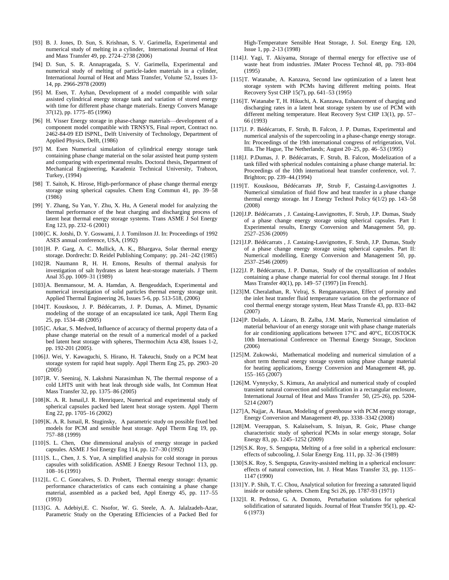- [93] B. J. Jones, D. Sun, S. Krishnan, S. V. Garimella, Experimental and numerical study of melting in a cylinder, International Journal of Heat and Mass Transfer 49, pp. 2724–2738 (2006)
- [94] D. Sun, S. R. Annapragada, S. V. Garimella, Experimental and numerical study of melting of particle-laden materials in a cylinder, International Journal of Heat and Mass Transfer, Volume 52, Issues 13- 14, pp. 2966-2978 (2009)
- [95] M. Esen, T. Ayhan, Development of a model compatible with solar assisted cylindrical energy storage tank and variation of stored energy with time for different phase change materials. Energy Convers Manage 37(12), pp. 1775–85 (1996)
- [96] H. Visser Energy storage in phase-change materials—development of a component model compatible with TRNSYS, Final report, Contract no. 2462-84-09 ED ISPNL, Delft University of Technology, Department of Applied Physics, Delft, (1986)
- [97] M. Esen Numerical simulation of cylindrical energy storage tank containing phase change material on the solar assisted heat pump system and comparing with experimental results. Doctoral thesis, Department of Mechanical Engineering, Karadeniz Technical University, Trabzon, Turkey, (1994)
- [98] T. Saitoh, K. Hirose, High-performance of phase change thermal energy storage using spherical capsules. Chem Eng Commun 41, pp. 39–58 (1986)
- [99] Y. Zhang, Su Yan, Y. Zhu, X. Hu, A General model for analyzing the thermal performance of the heat charging and discharging process of latent heat thermal energy storage systems. Trans ASME J Sol Energy Eng 123, pp. 232–6 (2001)
- [100]C. K. Jotshi, D. Y. Goswami, J. J. Tomilnson JJ. In: Proceedings of 1992 ASES annual conference, USA, (1992)
- [101] H. P. Garg, A. C. Mullick, A. K., Bhargava, Solar thermal energy storage. Dordrecht: D. Reidel Publishing Company; pp. 241–242 (1985)
- [102]R. Naumann R, H. H. Emons, Results of thermal analysis for investigation of salt hydrates as latent heat-storage materials. J Therm Anal 35.pp. 1009–31 (1989)
- [103]A. Benmansour, M. A. Hamdan, A. Bengeuddach, Experimental and numerical investigation of solid particles thermal energy storage unit. Applied Thermal Engineering 26, Issues 5-6, pp. 513-518, (2006)
- [104]T. Kousksou, J. P. Bédécarrats, J. P. Dumas, A. Mimet, Dynamic modeling of the storage of an encapsulated ice tank, Appl Therm Eng 25, pp. 1534–48 (2005)
- [105] C. Arkar, S. Medved, Influence of accuracy of thermal property data of a phase change material on the result of a numerical model of a packed bed latent heat storage with spheres, Thermochim Acta 438, Issues 1-2, pp. 192-201 (2005).
- [106]J. Wei, Y. Kawaguchi, S. Hirano, H. Takeuchi, Study on a PCM heat storage system for rapid heat supply. Appl Therm Eng 25, pp. 2903–20 (2005)
- [107]R. V. Seeniraj, N. Lakshmi Narasimhan N, The thermal response of a cold LHTS unit with heat leak through side walls, Int Commun Heat Mass Transfer 32, pp. 1375–86 (2005)
- [108]K. A. R. Ismail,J. R. Henriquez, Numerical and experimental study of spherical capsules packed bed latent heat storage system. Appl Therm Eng 22, pp. 1705–16 (2002)
- [109] K. A. R. Ismail, R. Stuginsky, A parametric study on possible fixed bed models for PCM and sensible heat storage. Appl Therm Eng 19, pp. 757–88 (1999)
- [110]S. L. Chen, One dimensional analysis of energy storage in packed capsules. ASME J Sol Energy Eng 114, pp. 127–30 (1992)
- [111]S. L., Chen, J. S. Yue, A simplified analysis for cold storage in porous capsules with solidification. ASME J Energy Resour Technol 113, pp. 108–16 (1991)
- [112]L. C. C. Goncalves, S. D. Probert, Thermal energy storage: dynamic performance characteristics of cans each containing a phase change material, assembled as a packed bed, Appl Energy 45, pp. 117–55 (1993)
- [113]G. A. Adebiyi,E. C. Nsofor, W. G. Steele, A. A. Jalalzadeh-Azar, Parametric Study on the Operating Efficiencies of a Packed Bed for

High-Temperature Sensible Heat Storage, J. Sol. Energy Eng. 120, Issue 1, pp. 2-13 (1998)

- [114]J. Yagi, T. Akiyama, Storage of thermal energy for effective use of waste heat from industries. JMater Process Technol 48, pp. 793–804 (1995)
- [115]T. Watanabe, A. Kanzava, Second law optimization of a latent heat storage system with PCMs having different melting points. Heat Recovery Syst CHP 15(7), pp. 641–53 (1995)
- [116]T. Watanabe T, H. Hikuchi, A. Kanzawa, Enhancement of charging and discharging rates in a latent heat storage system by use of PCM with different melting temperature. Heat Recovery Syst CHP 13(1), pp. 57– 66 (1993)
- [117]J. P. Bédécarrats, F. Strub, B. Falcon, J. P. Dumas, Experimental and numerical analysis of the supercooling in a phase-change energy storage. In: Proceedings of the 19th international congress of refrigeration, Vol. IIIa. The Hague, The Netherlands; August 20–25, pp. 46–53 (1995)
- [118]J. P.Dumas, J. P. Bédécarrats, F. Strub, B. Falcon, Modelization of a tank filled with spherical nodules containing a phase change material. In: Proceedings of the 10th international heat transfer conference, vol. 7. Brighton; pp. 239–44.(1994)
- [119]T. Kousksou, Bédécarrats JP, Strub F, Castaing-Lasvignottes J. Numerical simulation of fluid flow and heat transfer in a phase change thermal energy storage. Int J Energy Technol Policy 6(1/2) pp. 143–58 (2008)
- [120]J.P. Bédécarrats , J. Castaing-Lasvignottes, F. Strub, J.P. Dumas, Study of a phase change energy storage using spherical capsules. Part I: Experimental results, Energy Conversion and Management 50, pp. 2527–2536 (2009)
- [121]J.P. Bédécarrats , J. Castaing-Lasvignottes, F. Strub, J.P. Dumas, Study of a phase change energy storage using spherical capsules. Part II: Numerical modelling, Energy Conversion and Management 50, pp. 2537–2546 (2009)
- [122]J. P. Bédécarrats, J. P. Dumas, Study of the crystallization of nodules containing a phase change material for cool thermal storage. Int J Heat Mass Transfer 40(1), pp. 149–57 (1997) [in French].
- [123]M. Cheralathan, R. Velraj, S. Renganarayanan, Effect of porosity and the inlet heat transfer fluid temperature variation on the performance of cool thermal energy storage system, Heat Mass Transfe 43, pp. 833–842 (2007)
- [124]P. Dolado, A. Lázaro, B. Zalba, J.M. Marín, Numerical simulation of material behaviour of an energy storage unit with phase change materials for air conditioning applications between 17°C and 40°C, ECOSTOCK 10th International Conference on Thermal Energy Storage, Stockton (2006)
- [125]M. Zukowski, Mathematical modeling and numerical simulation of a short term thermal energy storage system using phase change material for heating applications, Energy Conversion and Management 48, pp. 155–165 (2007)
- [126]M. Vynnycky, S. Kimura, An analytical and numerical study of coupled transient natural convection and solidification in a rectangular enclosure, International Journal of Heat and Mass Transfer 50, (25-26), pp. 5204- 5214 (2007)
- [127]A, Najjar, A. Hasan, Modeling of greenhouse with PCM energy storage, Energy Conversion and Management 49, pp. 3338–3342 (2008)
- [128]M. Veerappan, S. Kalaiselvam, S. Iniyan, R. Goic, Phase change characteristic study of spherical PCMs in solar energy storage, Solar Energy 83, pp. 1245–1252 (2009)
- [129]S.K. Roy, S. Sengupta, Melting of a free solid in a spherical enclosure: effects of subcooling, J. Solar Energy Eng. 111, pp. 32–36 (1989)
- [130] S.K. Roy, S. Sengupta, Gravity-assisted melting in a spherical enclosure: effects of natural convection, Int. J. Heat Mass Transfer 33, pp. 1135– 1147 (1990)
- [131]Y. P. Shih, T. C. Chou, Analytical solution for freezing a saturated liquid inside or outside spheres. Chem Eng Sci 26, pp. 1787-93 (1971)
- [132]I. R. Pedroso, G. A. Domoto, Perturbation solutions for spherical solidification of saturated liquids. Journal of Heat Transfer 95(1), pp. 42- 6 (1973)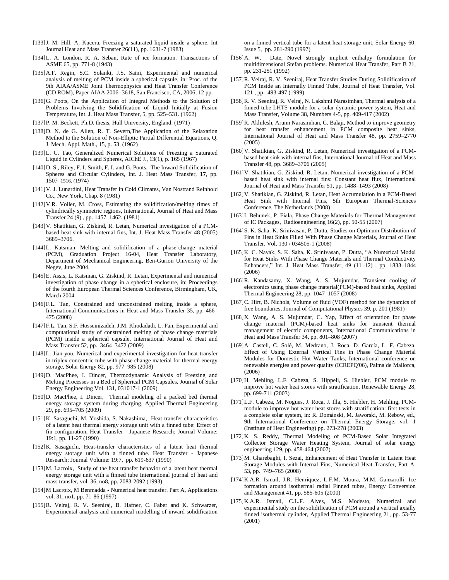- [133]J. M. Hill, A, Kucera, Freezing a saturated liquid inside a sphere. Int Journal Heat and Mass Transfer 26(11), pp. 1631-7 (1983)
- [134]L. A. London, R. A. Seban, Rate of ice formation. Transactions of ASME 65, pp. 771-8 (1943)
- [135]A.F. Regin, S.C. Solanki, J.S. Saini, Experimental and numerical analysis of melting of PCM inside a spherical capsule, in: Proc. of the 9th AIAA/ASME Joint Thermophysics and Heat Transfer Conference (CD ROM), Paper AIAA 2006- 3618, San Francisco, CA, 2006, 12 pp.
- [136]G. Poots, On the Application of Integral Methods to the Solution of Problems Involving the Solidification of Liquid Initially at Fusion Temperature, Int. J. Heat Mass Transfer, 5, pp. 525–531. (1962)
- [137]P. M. Beckett, Ph.D. thesis, Hull University, England. (1971)
- [138]D. N. de G. Allen, R. T. Severn, The Application of the Relaxation Method to the Solution of Non-Elliptic Partial Differential Equations, Q. J. Mech. Appl. Math., 15, p. 53. (1962)
- [139]L. C. Tao, Generalized Numerical Solutions of Freezing a Saturated Liquid in Cylinders and Spheres, AIChE J., 13(1), p. 165 (1967)
- [140]D. S., Riley, F. I. Smith, F. I. and G. Poots, The Inward Solidification of Spheres and Circular Cylinders, Int. J. Heat Mass Transfer, **17**, pp. 1507–1516. (1974)
- [141]V. J. Lunardini, Heat Transfer in Cold Climates, Van Nostrand Reinhold Co., New York, Chap. 8 (1981)
- [142]V.R. Voller, M. Cross, Estimating the solidification/melting times of cylindrically symmetric regions, International, Journal of Heat and Mass Transfer 24 (9) , pp. 1457–1462. (1981)
- [143]V. Shatikian, G. Ziskind, R. Letan, Numerical investigation of a PCMbased heat sink with internal fins, Int. J. Heat Mass Transfer 48 (2005) 3689–3706.
- [144]L. Katsman, Melting and solidification of a phase-change material (PCM), Graduation Project 16-04, Heat Transfer Laboratory, Department of Mechanical Engineering, Ben-Gurion University of the Negev, June 2004.
- [145]E. Assis, L. Katsman, G. Ziskind, R. Letan, Experimental and numerical investigation of phase change in a spherical enclosure, in: Proceedings of the fourth European Thermal Sciences Conference, Birmingham, UK, March 2004.
- [146]F.L. Tan, Constrained and unconstrained melting inside a sphere, International Communications in Heat and Mass Transfer 35, pp. 466– 475 (2008)
- [147]F.L. Tan, S.F. Hosseinizadeh, J.M. Khodadadi, L. Fan, Experimental and computational study of constrained melting of phase change materials (PCM) inside a spherical capsule, International Journal of Heat and Mass Transfer 52, pp. 3464–3472 (2009)
- [148]L. Jian-you, Numerical and experimental investigation for heat transfer in triplex concentric tube with phase change material for thermal energy storage, Solar Energy 82, pp. 977–985 (2008)
- [149]D. MacPhee, I. Dincer, Thermodynamic Analysis of Freezing and Melting Processes in a Bed of Spherical PCM Capsules, Journal of Solar Energy Engineering Vol. 131, 031017-1 (2009)
- [150]D. MacPhee, I. Dincer, Thermal modeling of a packed bed thermal energy storage system during charging, Applied Thermal Engineering 29, pp. 695–705 (2009)
- [151]K. Sasaguchi, M. Yoshida, S. Nakashima, Heat transfer characteristics of a latent heat thermal energy storage unit with a finned tube: Effect of fin configuration, Heat Transfer - Japanese Research; Journal Volume: 19:1, pp. 11-27 (1990)
- [152]K. Sasaguchi, Heat-transfer characteristics of a latent heat thermal energy storage unit with a finned tube. Heat Transfer - Japanese Research; Journal Volume: 19:7, pp. 619-637 (1990)
- [153]M. Lacroix, Study of the heat transfer behavior of a latent heat thermal energy storage unit with a finned tube International journal of heat and mass transfer, vol. 36, no8, pp. 2083-2092 (1993)
- [154]M Lacroix, M Benmadda Numerical heat transfer. Part A, Applications vol. 31, no1, pp. 71-86 (1997)
- [155] R. Velraj, R. V. Seeniraj, B. Hafner, C. Faber and K. Schwarzer, Experimental analysis and numerical modelling of inward solidification

on a finned vertical tube for a latent heat storage unit, Solar Energy 60, Issue 5, pp. 281-290 (1997)

- [156]A. W. Date, Novel strongly implicit enthalpy formulation for multidimensional Stefan problems. Numerical Heat Transfer, Part B 21, pp. 231-251 (1992)
- [157]R. Velraj, R. V. Seeniraj, Heat Transfer Studies During Solidification of PCM Inside an Internally Finned Tube, Journal of Heat Transfer, Vol. 121 , pp. 493-497 (1999)
- [158]R. V. Seeniraj, R. Velraj, N. Lakshmi Narasimhan, Thermal analysis of a finned-tube LHTS module for a solar dynamic power system, Heat and Mass Transfer, Volume 38, Numbers 4-5, pp. 409-417 (2002)
- [159]R. Akhilesh, Arunn Narasimhan, C. Balaji, Method to improve geometry for heat transfer enhancement in PCM composite heat sinks, International Journal of Heat and Mass Transfer 48, pp. 2759–2770 (2005)
- [160] V. Shatikian, G. Ziskind, R. Letan, Numerical investigation of a PCMbased heat sink with internal fins, International Journal of Heat and Mass Transfer 48, pp. 3689–3706 (2005)
- [161]V. Shatikian, G. Ziskind, R. Letan, Numerical investigation of a PCMbased heat sink with internal fins: Constant heat flux, International Journal of Heat and Mass Transfer 51, pp. 1488–1493 (2008)
- [162]V. Shatikian, G. Ziskind, R. Letan, Heat Accumulation in a PCM-Based Heat Sink with Internal Fins, 5th European Thermal-Sciences Conference, The Netherlands (2008)
- [163]I. Běhunek, P. Fiala, Phase Change Materials for Thermal Management of IC Packages, Radioengineering 16(2), pp. 50-55 (2007)
- [164]S. K. Saha, K. Srinivasan, P. Dutta, Studies on Optimum Distribution of Fins in Heat Sinks Filled With Phase Change Materials, Journal of Heat Transfer, Vol. 130 / 034505-1 (2008)
- [165] K. C. Nayak, S. K. Saha, K. Srinivasan, P. Dutta, "A Numerical Model for Heat Sinks With Phase Change Materials and Thermal Conductivity Enhancers," Int. J. Heat Mass Transfer, 49 (11-12), pp. 1833-1844 (2006)
- [166]R. Kandasamy, X. Wang, A. S. Mujumdar, Transient cooling of electronics using phase change material(PCM)-based heat sinks, Applied Thermal Engineering 28, pp. 1047–1057 (2008)
- [167]C. Hirt, B. Nichols, Volume of fluid (VOF) method for the dynamics of free boundaries, Journal of Computational Physics 39, p. 201 (1981)
- [168]X. Wang, A. S. Mujumdar, C. Yap, Effect of orientation for phase change material (PCM)-based heat sinks for transient thermal management of electric components, International Communications in Heat and Mass Transfer 34, pp. 801–808 (2007)
- [169]A. Castell, C. Solé, M. Medrano, J. Roca, D. García, L. F. Cabeza, Effect of Using External Vertical Fins in Phase Change Material Modules for Domestic Hot Water Tanks, International conference on renewable energies and power quality (ICREPQ'06), Palma de Mallorca, (2006)
- [170]H. Mehling, L.F. Cabeza, S. Hippeli, S. Hiebler, PCM module to improve hot water heat stores with stratification. Renewable Energy 28, pp. 699-711 (2003)
- [171]L.F. Cabeza, M. Nogues, J. Roca, J. Illa, S. Hiebler, H. Mehling, PCMmodule to improve hot water heat stores with stratification: first tests in a complete solar system, in: R. Dománski, M. Jaworski, M. Rebow, ed., 9th International Conference on Thermal Energy Storage, vol. 1 (Institute of Heat Engineering) pp. 273-278 (2003)
- [172] K. S. Reddy, Thermal Modeling of PCM-Based Solar Integrated Collector Storage Water Heating System, Journal of solar energy engineering 129, pp. 458-464 (2007)
- [173]M. Gharebaghi, I. Sezai, Enhancement of Heat Transfer in Latent Heat Storage Modules with Internal Fins, Numerical Heat Transfer, Part A, 53, pp. 749–765 (2008)
- [174]K.A.R. Ismail, J.R. Henríquez, L.F.M. Moura, M.M. Ganzarolli, Ice formation around isothermal radial Finned tubes, Energy Conversion and Management 41, pp. 585-605 (2000)
- [175] K.A.R. Ismail, C.L.F. Alves, M.S. Modesto, Numerical and experimental study on the solidification of PCM around a vertical axially finned isothermal cylinder, Applied Thermal Engineering 21, pp. 53-77 (2001)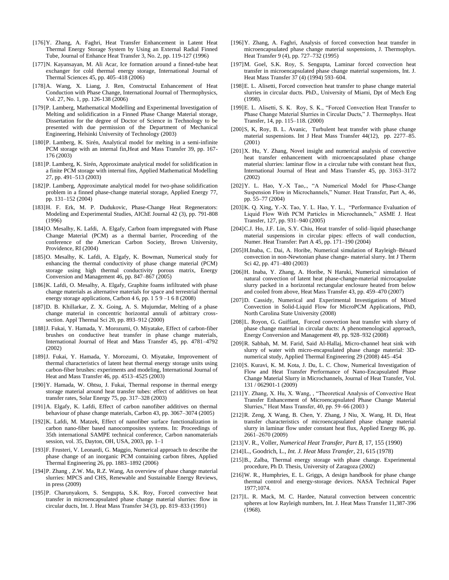- [176]Y. Zhang, A. Faghri, Heat Transfer Enhancement in Latent Heat Thermal Energy Storage System by Using an External Radial Finned Tube, Journal of Enhance Heat Transfer 3, No. 2, pp. 119-127 (1996)
- [177]N. Kayansayan, M. Ali Acar, Ice formation around a finned-tube heat exchanger for cold thermal energy storage, International Journal of Thermal Sciences 45, pp. 405–418 (2006)
- [178]A. Wang, X. Liang, J. Ren, Constructal Enhancement of Heat Conduction with Phase Change, International Journal of Thermophysics, Vol. 27, No. 1, pp. 126-138 (2006)
- [179]P. Lamberg, Mathematical Modelling and Experimental Investigation of Melting and solidification in a Finned Phase Change Material storage, Dissertation for the degree of Doctor of Science in Technology to be presented with due permission of the Department of Mechanical Engineering, Helsinki University of Technology (2003)
- [180]P. Lamberg, K. Sirén, Analytical model for melting in a semi-infinite PCM storage with an internal fin,Heat and Mass Transfer 39, pp. 167- 176 (2003)
- [181]P. Lamberg, K. Sirén, Approximate analytical model for solidification in a finite PCM storage with internal fins, Applied Mathematical Modelling 27, pp. 491–513 (2003)
- [182]P. Lamberg, Approximate analytical model for two-phase solidification problem in a finned phase-change material storage, Applied Energy 77, pp. 131–152 (2004)
- [183] H. F. Erk, M. P. Dudukovic, Phase-Change Heat Regenerators: Modeling and Experimental Studies, AIChE Journal 42 (3), pp. 791-808 (1996)
- [184]O. Mesalhy, K. Lafdi, A. Elgafy, Carbon foam impregnated with Phase Change Material (PCM) as a thermal barrier, Proceeding of the conference of the American Carbon Society, Brown University, Providence, RI (2004)
- [185]O. Mesalhy, K. Lafdi, A. Elgafy, K. Bowman, Numerical study for enhancing the thermal conductivity of phase change material (PCM) storage using high thermal conductivity porous matrix, Energy Conversion and Management 46, pp. 847–867 (2005)
- [186]K. Lafdi, O. Mesalhy, A. Elgafy, Graphite foams infiltrated with phase change materials as alternative materials for space and terrestrial thermal energy storage applications, Carbon 4 6, pp. 1 5 9 –1 6 8 (2008)
- [187]D. B. Khillarkar, Z. X. Going, A. S. Mujumdar, Melting of a phase change material in concentric horizontal annuli of arbitrary crosssection. Appl Thermal Sci 20, pp. 893–912 (2000)
- [188]J. Fukai, Y. Hamada, Y. Morozumi, O. Miyatake, Effect of carbon-fiber brushes on conductive heat transfer in phase change materials, International Journal of Heat and Mass Transfer 45, pp. 4781–4792 (2002)
- [189]J. Fukai, Y. Hamada, Y. Morozumi, O. Miyatake, Improvement of thermal characteristics of latent heat thermal energy storage units using carbon-fiber brushes: experiments and modeling, International Journal of Heat and Mass Transfer 46, pp. 4513–4525 (2003)
- [190]Y. Hamada, W. Ohtsu, J. Fukai, Thermal response in thermal energy storage material around heat transfer tubes: effect of additives on heat transfer rates, Solar Energy 75, pp. 317–328 (2003)
- [191]A. Elgafy, K. Lafdi, Effect of carbon nanofiber additives on thermal behaviour of phase change materials, Carbon 43, pp. 3067–3074 (2005)
- [192]K. Lafdi, M. Matzek, Effect of nanofiber surface functionalization in carbon nano-fiber based nanocomposites systems. In: Proceedings of 35th international SAMPE technical conference, Carbon nanomaterials session, vol. 35, Dayton, OH, USA, 2003, pp. 1–1
- [193]F. Frusteri, V. Leonardi, G. Maggio, Numerical approach to describe the phase change of an inorganic PCM containing carbon fibres, Applied Thermal Engineering 26, pp. 1883–1892 (2006)
- [194]P. Zhang , Z.W. Ma, R.Z. Wang, An overview of phase change material slurries: MPCS and CHS, Renewable and Sustainable Energy Reviews, in press (2009)
- [195]P. Charunyakorn, S. Sengupta, S.K. Roy, Forced convective heat transfer in microencapsulated phase change material slurries: flow in circular ducts, Int. J. Heat Mass Transfer 34 (3), pp. 819–833 (1991)
- [196]Y. Zhang, A. Faghri, Analysis of forced convection heat transfer in microencapsulated phase change material suspensions, J. Thermophys. Heat Transfer 9 (4), pp. 727–732 (1995)
- [197]M. Goel, S.K. Roy, S. Sengupta, Laminar forced convection heat transfer in microencapsulated phase change material suspensions, Int. J. Heat Mass Transfer 37 (4) (1994) 593–604.
- [198]E. L. Alisetti, Forced convection heat transfer to phase change material slurries in circular ducts. PhD., University of Miami, Dpt of Mech Eng (1998).
- [199] E. L. Alisetti, S. K. Roy, S. K., "Forced Convection Heat Transfer to Phase Change Material Slurries in Circular Ducts," J. Thermophys. Heat Transfer, 14, pp. 115–118. (2000)
- [200]S, K, Roy, B. L. Avanic, Turbulent heat transfer with phase change material suspensions. Int J Heat Mass Transfer 44(12), pp. 2277–85. (2001)
- [201]X. Hu, Y. Zhang, Novel insight and numerical analysis of convective heat transfer enhancement with microencapsulated phase change material slurries: laminar flow in a circular tube with constant heat flux, International Journal of Heat and Mass Transfer 45, pp. 3163–3172 (2002)
- [202] Y. L. Hao, Y.-X Tao,., "A Numerical Model for Phase-Change Suspension Flow in Microchannels," Numer. Heat Transfer, Part A, 46, pp. 55–77 (2004)
- [203] K. Q. Xing, Y.-X. Tao, Y. L. Hao, Y. L., "Performance Evaluation of Liquid Flow With PCM Particles in Microchannels," ASME J. Heat Transfer, 127, pp. 931–940 (2005)
- [204]C.J. Ho, J.F. Lin, S.Y. Chiu, Heat transfer of solid–liquid phasechange material suspensions in circular pipes: effects of wall conduction, Numer. Heat Transfer: Part A 45, pp. 171–190 (2004)
- [205]H.Inaba, C. Dai, A. Horibe, Numerical simulation of Rayleigh–Bénard convection in non-Newtonian phase change- material slurry. Int J Therm Sci 42, pp. 471–480 (2003)
- [206]H. Inaba, Y. Zhang, A. Horibe, N Haruki, Numerical simulation of natural convection of latent heat phase-change-material microcapsulate slurry packed in a horizontal rectangular enclosure heated from below and cooled from above, Heat Mass Transfer 43, pp. 459–470 (2007)
- [207]D. Cassidy, Numerical and Experimental Investigations of Mixed Convection in Solid-Liquid Flow for MicroPCM Applications, PhD, North Carolina State University (2008)
- [208]L. Royon, G. Guiffant, Forced convection heat transfer with slurry of phase change material in circular ducts: A phenomenological approach, Energy Conversion and Management 49, pp. 928–932 (2008)
- [209]R. Sabbah, M. M. Farid, Said Al-Hallaj, Micro-channel heat sink with slurry of water with micro-encapsulated phase change material: 3Dnumerical study, Applied Thermal Engineering 29 (2008) 445–454
- [210]S. Kuravi, K. M. Kota, J. Du, L. C. Chow, Numerical Investigation of Flow and Heat Transfer Performance of Nano-Encapsulated Phase Change Material Slurry in Microchannels, Journal of Heat Transfer, Vol. 131 / 062901-1 (2009)
- [211]Y. Zhang, X. Hu, X. Wang, , "Theoretical Analysis of Convective Heat Transfer Enhancement of Microencapsulated Phase Change Material Slurries," Heat Mass Transfer, 40, pp. 59-66 (2003)
- [212]R. Zeng, X Wang, B. Chen, Y. Zhang, J Niu, X. Wang, H. Di, Heat transfer characteristics of microencapsulated phase change material slurry in laminar flow under constant heat flux, Applied Energy 86, pp. 2661–2670 (2009)
- [213]V. R., Voller, *Numerical Heat Transfer, Part B,* 17, 155 (1990)
- [214]L., Goodrich, L., *Int. J. Heat Mass Transfer*, 21, 615 (1978)
- [215]B., Zalba, Thermal energy storage with phase change. Experimental procedure, Ph D. Thesis, University of Zaragoza (2002)
- [216]W. R., Humphries, E. L. Griggs, A design handbook for phase change thermal control and energy-storage devices. NASA Technical Paper 1977;1074.
- [217]L. R. Mack, M. C. Hardee, Natural convection between concentric spheres at low Rayleigh numbers, Int. J. Heat Mass Transfer 11,387-396 (1968).